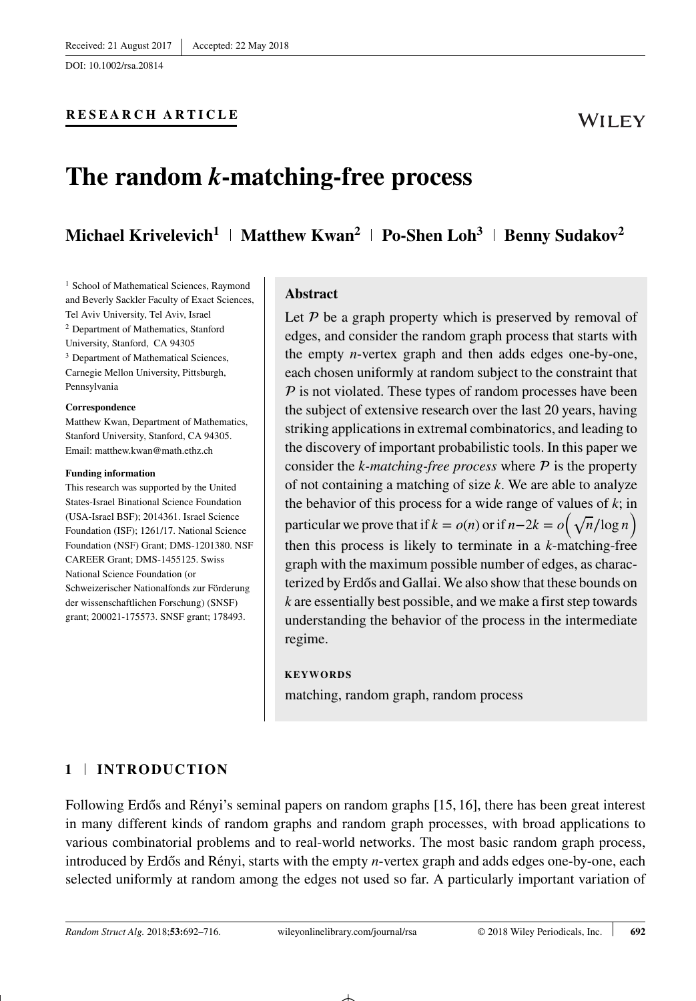## **RESEARCH ARTICLE**

# **The random** *k***-matching-free process**

## **Michael Krivelevich<sup>1</sup> | Matthew Kwan<sup>2</sup> | Po-Shen Loh<sup>3</sup> | Benny Sudakov<sup>2</sup>**

<sup>1</sup> School of Mathematical Sciences, Raymond and Beverly Sackler Faculty of Exact Sciences, Tel Aviv University, Tel Aviv, Israel <sup>2</sup> Department of Mathematics, Stanford University, Stanford, CA 94305 <sup>3</sup> Department of Mathematical Sciences, Carnegie Mellon University, Pittsburgh, Pennsylvania

#### **Correspondence**

Matthew Kwan, Department of Mathematics, Stanford University, Stanford, CA 94305. Email: matthew.kwan@math.ethz.ch

#### **Funding information**

This research was supported by the United States-Israel Binational Science Foundation (USA-Israel BSF); 2014361. Israel Science Foundation (ISF); 1261/17. National Science Foundation (NSF) Grant; DMS-1201380. NSF CAREER Grant; DMS-1455125. Swiss National Science Foundation (or Schweizerischer Nationalfonds zur Förderung der wissenschaftlichen Forschung) (SNSF) grant; 200021-175573. SNSF grant; 178493.

## **Abstract**

Let  $P$  be a graph property which is preserved by removal of edges, and consider the random graph process that starts with the empty *n*-vertex graph and then adds edges one-by-one, each chosen uniformly at random subject to the constraint that  $P$  is not violated. These types of random processes have been the subject of extensive research over the last 20 years, having striking applications in extremal combinatorics, and leading to the discovery of important probabilistic tools. In this paper we consider the  $k$ -matching-free process where  $P$  is the property of not containing a matching of size *k*. We are able to analyze the behavior of this process for a wide range of values of *k*; in particular we prove that if  $k = o(n)$  or if  $n-2k = o(\sqrt{n}/\log n)$ then this process is likely to terminate in a *k*-matching-free graph with the maximum possible number of edges, as characterized by Erdős and Gallai. We also show that these bounds on *k* are essentially best possible, and we make a first step towards understanding the behavior of the process in the intermediate regime.

#### **KEYWORDS**

matching, random graph, random process

## **1 INTRODUCTION**

Following Erdős and Rényi's seminal papers on random graphs  $[15, 16]$ , there has been great interest in many different kinds of random graphs and random graph processes, with broad applications to various combinatorial problems and to real-world networks. The most basic random graph process, introduced by Erdős and Rényi, starts with the empty *n*-vertex graph and adds edges one-by-one, each selected uniformly at random among the edges not used so far. A particularly important variation of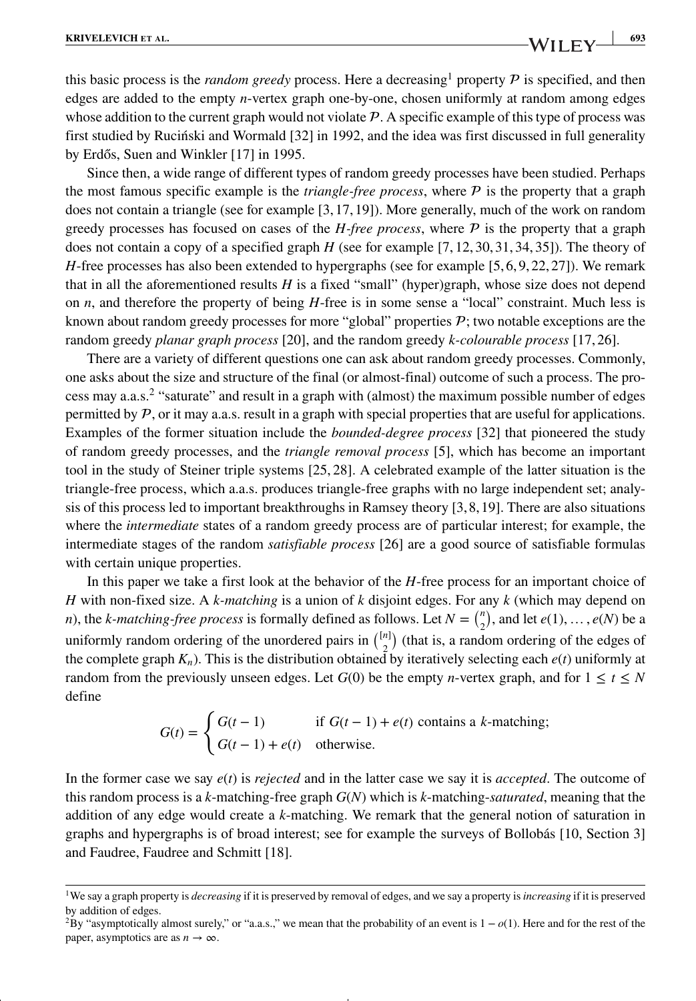**KRIVELEVICH** ET AL. 693

this basic process is the *random greedy* process. Here a decreasing<sup>[1](#page-1-0)</sup> property  $P$  is specified, and then edges are added to the empty *n*-vertex graph one-by-one, chosen uniformly at random among edges whose addition to the current graph would not violate  $P$ . A specific example of this type of process was first studied by Rucinski and Wormald [32] in 1992, and the idea was first discussed in full generality by Erdős, Suen and Winkler  $[17]$  in 1995.

Since then, a wide range of different types of random greedy processes have been studied. Perhaps the most famous specific example is the *triangle-free process*, where  $P$  is the property that a graph does not contain a triangle (see for example [3,17,19]). More generally, much of the work on random greedy processes has focused on cases of the *H-free process*, where  $P$  is the property that a graph does not contain a copy of a specified graph *H* (see for example [7, 12, 30, 31, 34, 35]). The theory of *H*-free processes has also been extended to hypergraphs (see for example [5, 6, 9, 22, 27]). We remark that in all the aforementioned results *H* is a fixed "small" (hyper)graph, whose size does not depend on *n*, and therefore the property of being *H*-free is in some sense a "local" constraint. Much less is known about random greedy processes for more "global" properties  $P$ ; two notable exceptions are the random greedy *planar graph process* [20], and the random greedy *k-colourable process* [17, 26].

There are a variety of different questions one can ask about random greedy processes. Commonly, one asks about the size and structure of the final (or almost-final) outcome of such a process. The process may a.a.s.[2](#page-1-1) "saturate" and result in a graph with (almost) the maximum possible number of edges permitted by  $P$ , or it may a.a.s. result in a graph with special properties that are useful for applications. Examples of the former situation include the *bounded-degree process* [32] that pioneered the study of random greedy processes, and the *triangle removal process* [5], which has become an important tool in the study of Steiner triple systems [25, 28]. A celebrated example of the latter situation is the triangle-free process, which a.a.s. produces triangle-free graphs with no large independent set; analysis of this process led to important breakthroughs in Ramsey theory [3,8,19]. There are also situations where the *intermediate* states of a random greedy process are of particular interest; for example, the intermediate stages of the random *satisfiable process* [26] are a good source of satisfiable formulas with certain unique properties.

In this paper we take a first look at the behavior of the *H*-free process for an important choice of *H* with non-fixed size. A *k-matching* is a union of *k* disjoint edges. For any *k* (which may depend on *n*), the *k*-matching-free process is formally defined as follows. Let  $N = \binom{n}{2}$ , and let  $e(1), \ldots, e(N)$  be a uniformly random ordering of the unordered pairs in  $\binom{[n]}{2}$  (that is, a random ordering of the edges of the complete graph *Kn*). This is the distribution obtained by iteratively selecting each *e*(*t*) uniformly at random from the previously unseen edges. Let  $G(0)$  be the empty *n*-vertex graph, and for  $1 \le t \le N$ define

$$
G(t) = \begin{cases} G(t-1) & \text{if } G(t-1) + e(t) \text{ contains a } k\text{-matching;} \\ G(t-1) + e(t) & \text{otherwise.} \end{cases}
$$

In the former case we say *e*(*t*) is *rejected* and in the latter case we say it is *accepted*. The outcome of this random process is a *k*-matching-free graph *G*(*N*) which is *k*-matching-*saturated*, meaning that the addition of any edge would create a *k*-matching. We remark that the general notion of saturation in graphs and hypergraphs is of broad interest; see for example the surveys of Bollobás [10, Section 3] and Faudree, Faudree and Schmitt [18].

<span id="page-1-0"></span><sup>1</sup>We say a graph property is *decreasing* if it is preserved by removal of edges, and we say a property is*increasing* if it is preserved by addition of edges.

<span id="page-1-1"></span><sup>&</sup>lt;sup>2</sup>By "asymptotically almost surely," or "a.a.s.," we mean that the probability of an event is  $1 - o(1)$ . Here and for the rest of the paper, asymptotics are as  $n \to \infty$ .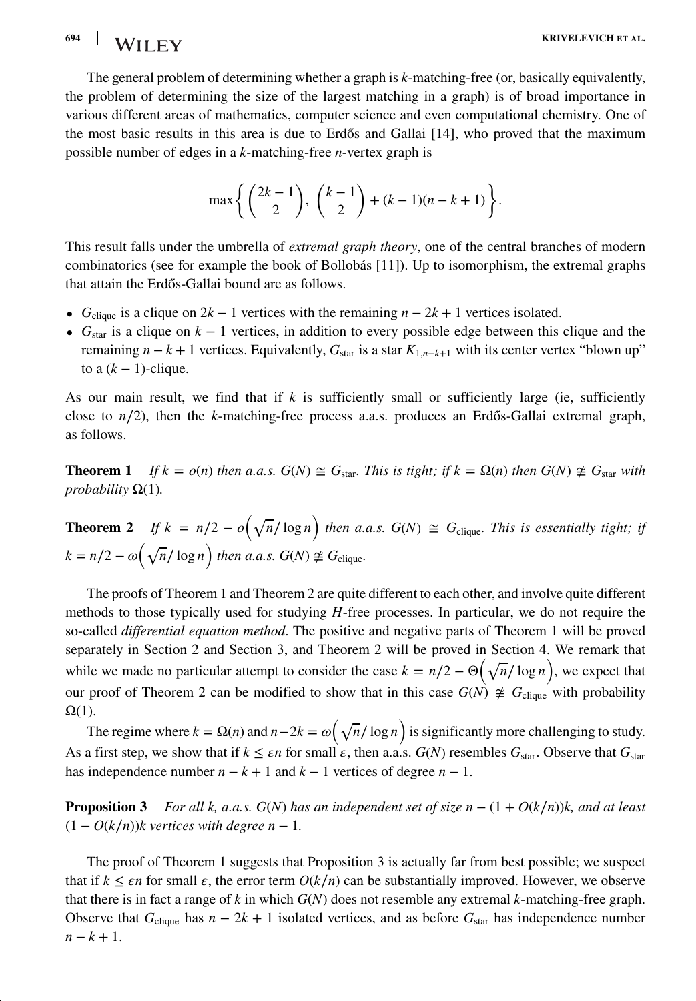The general problem of determining whether a graph is *k*-matching-free (or, basically equivalently, the problem of determining the size of the largest matching in a graph) is of broad importance in various different areas of mathematics, computer science and even computational chemistry. One of the most basic results in this area is due to Erdős and Gallai [14], who proved that the maximum possible number of edges in a *k*-matching-free *n*-vertex graph is

$$
\max\left\{ \binom{2k-1}{2}, \binom{k-1}{2} + (k-1)(n-k+1) \right\}.
$$

This result falls under the umbrella of *extremal graph theory*, one of the central branches of modern combinatorics (see for example the book of Bollobás [11]). Up to isomorphism, the extremal graphs that attain the Erdős-Gallai bound are as follows.

- $G_{\text{clique}}$  is a clique on  $2k 1$  vertices with the remaining  $n 2k + 1$  vertices isolated.
- **•** *G*star is a clique on *k* − 1 vertices, in addition to every possible edge between this clique and the remaining  $n - k + 1$  vertices. Equivalently,  $G_{\text{star}}$  is a star  $K_{1,n-k+1}$  with its center vertex "blown up" to a  $(k - 1)$ -clique.

As our main result, we find that if *k* is sufficiently small or sufficiently large (ie, sufficiently close to  $n/2$ ), then the *k*-matching-free process a.a.s. produces an Erd<sub>os</sub>-Gallai extremal graph, as follows.

**Theorem 1** *If*  $k = o(n)$  *then a.a.s.*  $G(N) \cong G_{\text{star}}$ *. This is tight; if*  $k = \Omega(n)$  *then*  $G(N) \not\cong G_{\text{star}}$  *with probability*  $\Omega(1)$ *.* 

**Theorem 2** *If*  $k = n/2 - o(\sqrt{n}/\log n)$  *then a.a.s.*  $G(N) \cong G_{\text{clique}}$ *. This is essentially tight; if*  $k = n/2 - \omega \left(\sqrt{n}/\log n\right)$  *then a.a.s.*  $G(N) \not\cong G_{\text{clique}}$ *.* 

The proofs of Theorem 1 and Theorem 2 are quite different to each other, and involve quite different methods to those typically used for studying *H*-free processes. In particular, we do not require the so-called *differential equation method*. The positive and negative parts of Theorem 1 will be proved separately in Section 2 and Section 3, and Theorem 2 will be proved in Section 4. We remark that while we made no particular attempt to consider the case  $k = n/2 - \Theta(\sqrt{n}/\log n)$ , we expect that our proof of Theorem 2 can be modified to show that in this case  $G(N) \not\cong G_{\text{clique}}$  with probability  $\Omega(1)$ .

The regime where  $k = \Omega(n)$  and  $n-2k = \omega(\sqrt{n}/\log n)$  is significantly more challenging to study. As a first step, we show that if  $k \leq \varepsilon n$  for small  $\varepsilon$ , then a.a.s.  $G(N)$  resembles  $G_{star}$ . Observe that  $G_{star}$ has independence number  $n - k + 1$  and  $k - 1$  vertices of degree  $n - 1$ .

**Proposition 3** *For all k, a.a.s.*  $G(N)$  *has an independent set of size*  $n - (1 + O(k/n))k$ *, and at least*  $(1 - O(k/n))$ *k* vertices with degree  $n - 1$ .

The proof of Theorem 1 suggests that Proposition 3 is actually far from best possible; we suspect that if  $k \leq \epsilon n$  for small  $\epsilon$ , the error term  $O(k/n)$  can be substantially improved. However, we observe that there is in fact a range of *k* in which *G*(*N*) does not resemble any extremal *k*-matching-free graph. Observe that  $G_{\text{clique}}$  has  $n - 2k + 1$  isolated vertices, and as before  $G_{\text{star}}$  has independence number  $n - k + 1$ .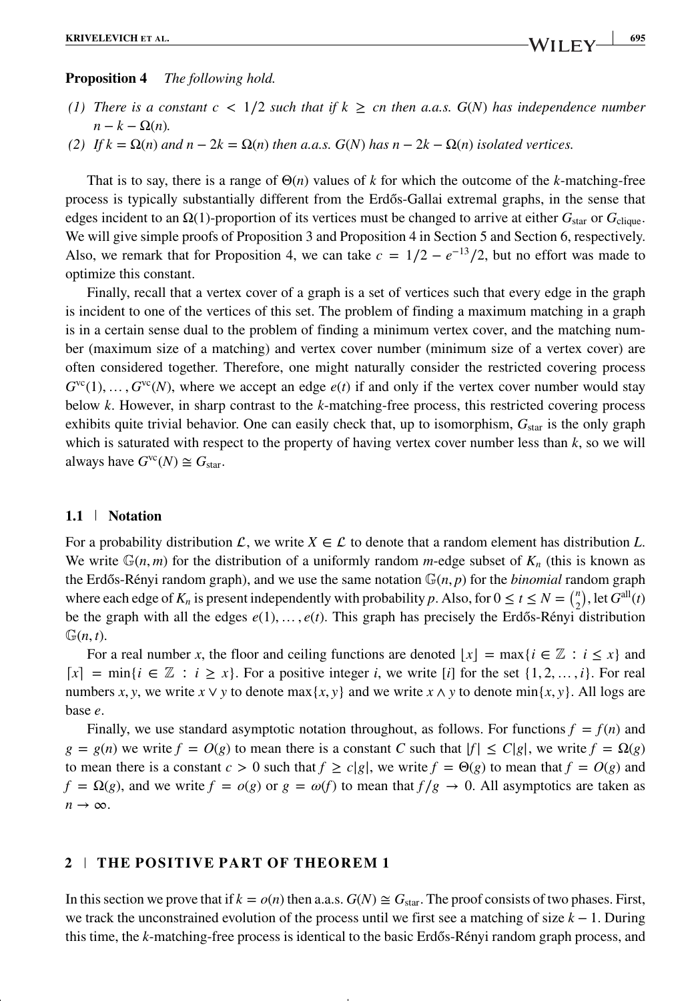#### **Proposition 4** *The following hold.*

- *(1) There is a constant c < 1/2 such that if*  $k \geq cn$  *then a.a.s.*  $G(N)$  *has independence number*  $n - k - \Omega(n)$ .
- *(2) If*  $k = Ω(n)$  *and*  $n 2k = Ω(n)$  *then a.a.s. G*(*N*) *has*  $n 2k − Ω(n)$  *isolated vertices.*

That is to say, there is a range of Θ(*n*) values of *k* for which the outcome of the *k*-matching-free process is typically substantially different from the Erdős-Gallai extremal graphs, in the sense that edges incident to an  $\Omega(1)$ -proportion of its vertices must be changed to arrive at either  $G_{star}$  or  $G_{\text{clique}}$ . We will give simple proofs of Proposition 3 and Proposition 4 in Section 5 and Section 6, respectively. Also, we remark that for Proposition 4, we can take  $c = 1/2 - e^{-13}/2$ , but no effort was made to optimize this constant.

Finally, recall that a vertex cover of a graph is a set of vertices such that every edge in the graph is incident to one of the vertices of this set. The problem of finding a maximum matching in a graph is in a certain sense dual to the problem of finding a minimum vertex cover, and the matching number (maximum size of a matching) and vertex cover number (minimum size of a vertex cover) are often considered together. Therefore, one might naturally consider the restricted covering process  $G^{\text{vc}}(1), \ldots, G^{\text{vc}}(N)$ , where we accept an edge  $e(t)$  if and only if the vertex cover number would stay below *k*. However, in sharp contrast to the *k*-matching-free process, this restricted covering process exhibits quite trivial behavior. One can easily check that, up to isomorphism,  $G_{star}$  is the only graph which is saturated with respect to the property of having vertex cover number less than *k*, so we will always have  $G^{\text{vc}}(N) \cong G_{\text{star}}$ .

#### **1.1 Notation**

For a probability distribution  $\mathcal{L}$ , we write  $X \in \mathcal{L}$  to denote that a random element has distribution L. We write  $\mathbb{G}(n,m)$  for the distribution of a uniformly random *m*-edge subset of  $K_n$  (this is known as the Erdős-Rényi random graph), and we use the same notation  $\mathbb{G}(n, p)$  for the *binomial* random graph where each edge of  $K_n$  is present independently with probability *p*. Also, for  $0 \le t \le N = {n \choose 2}$ , let  $G^{\text{all}}(t)$ be the graph with all the edges  $e(1), \ldots, e(t)$ . This graph has precisely the Erdős-Rényi distribution  $\mathbb{G}(n,t)$ .

For a real number *x*, the floor and ceiling functions are denoted  $|x| = \max\{i \in \mathbb{Z} : i \leq x\}$  and  $[x] = \min\{i \in \mathbb{Z} : i \geq x\}$ . For a positive integer *i*, we write [*i*] for the set {1, 2, ..., *i*}. For real numbers *x*, *y*, we write *x* ∨ *y* to denote max{*x*, *y*} and we write *x* ∧ *y* to denote min{*x*, *y*}. All logs are base *e*.

Finally, we use standard asymptotic notation throughout, as follows. For functions  $f = f(n)$  and  $g = g(n)$  we write  $f = O(g)$  to mean there is a constant *C* such that  $|f| \le C|g|$ , we write  $f = \Omega(g)$ to mean there is a constant  $c > 0$  such that  $f \ge c|g|$ , we write  $f = \Theta(g)$  to mean that  $f = O(g)$  and  $f = \Omega(g)$ , and we write  $f = o(g)$  or  $g = \omega(f)$  to mean that  $f/g \to 0$ . All asymptotics are taken as  $n \rightarrow \infty$ .

### **2 THE POSITIVE PART OF THEOREM 1**

In this section we prove that if  $k = o(n)$  then a.a.s.  $G(N) \cong G_{\text{star}}$ . The proof consists of two phases. First, we track the unconstrained evolution of the process until we first see a matching of size *k* − 1. During this time, the *k*-matching-free process is identical to the basic Erdős-Rényi random graph process, and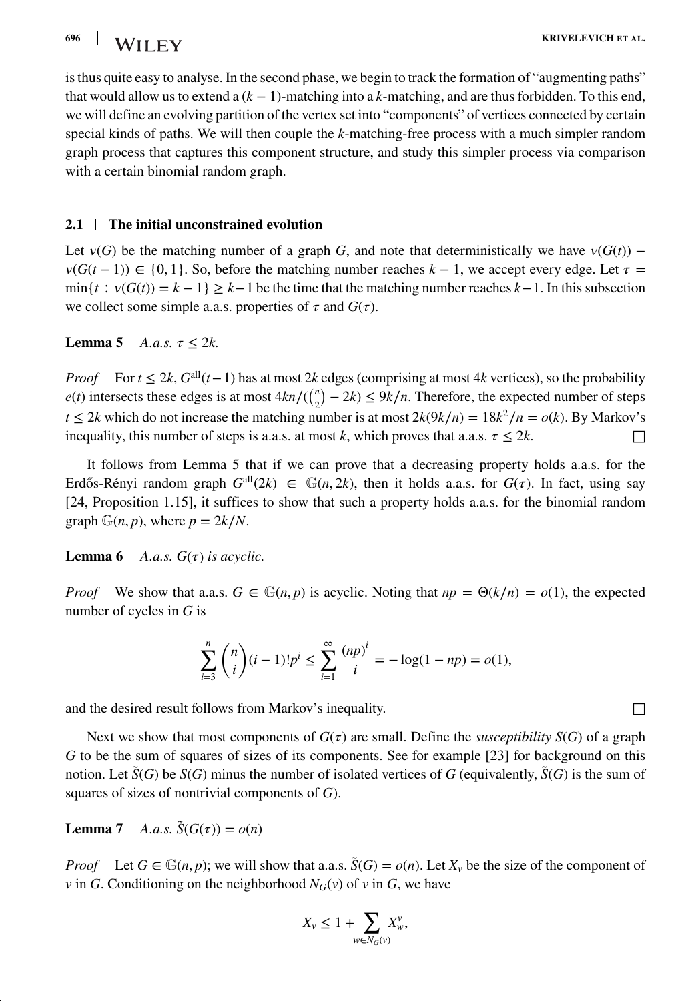is thus quite easy to analyse. In the second phase, we begin to track the formation of "augmenting paths" that would allow us to extend a (*k* − 1)-matching into a *k*-matching, and are thus forbidden. To this end, we will define an evolving partition of the vertex set into "components" of vertices connected by certain special kinds of paths. We will then couple the *k*-matching-free process with a much simpler random graph process that captures this component structure, and study this simpler process via comparison with a certain binomial random graph.

#### **2.1 The initial unconstrained evolution**

Let  $v(G)$  be the matching number of a graph *G*, and note that deterministically we have  $v(G(t))$  –  $v(G(t-1)) \in \{0, 1\}$ . So, before the matching number reaches  $k-1$ , we accept every edge. Let  $\tau =$  $\min\{t : v(G(t)) = k - 1\} \geq k - 1$  be the time that the matching number reaches  $k - 1$ . In this subsection we collect some simple a.a.s. properties of  $\tau$  and  $G(\tau)$ .

**Lemma 5** *A.a.s.*  $\tau \leq 2k$ .

*Proof* For  $t \le 2k$ ,  $G^{all}(t-1)$  has at most 2*k* edges (comprising at most 4*k* vertices), so the probability *e*(*t*) intersects these edges is at most  $4kn/(\binom{n}{2} - 2k)$  ≤  $9k/n$ . Therefore, the expected number of steps *t* ≤ 2*k* which do not increase the matching number is at most  $2k(9k/n) = 18k^2/n = o(k)$ . By Markov's inequality, this number of steps is a.a.s. at most *k*, which proves that a.a.s.  $\tau \leq 2k$ .

It follows from Lemma 5 that if we can prove that a decreasing property holds a.a.s. for the Erdős-Rényi random graph  $G^{all}(2k) \in \mathbb{G}(n, 2k)$ , then it holds a.a.s. for  $G(\tau)$ . In fact, using say [24, Proposition 1.15], it suffices to show that such a property holds a.a.s. for the binomial random graph  $\mathbb{G}(n, p)$ , where  $p = 2k/N$ .

**Lemma 6** *A.a.s.*  $G(\tau)$  *is acyclic.* 

*Proof* We show that a.a.s.  $G \in \mathbb{G}(n, p)$  is acyclic. Noting that  $np = \Theta(k/n) = o(1)$ , the expected number of cycles in *G* is

$$
\sum_{i=3}^{n} {n \choose i} (i-1)! p^{i} \le \sum_{i=1}^{\infty} \frac{(np)^{i}}{i} = -\log(1 - np) = o(1),
$$

and the desired result follows from Markov's inequality.  $\Box$ 

Next we show that most components of  $G(\tau)$  are small. Define the *susceptibility*  $S(G)$  of a graph *G* to be the sum of squares of sizes of its components. See for example [23] for background on this notion. Let  $\tilde{S}(G)$  be  $S(G)$  minus the number of isolated vertices of *G* (equivalently,  $\tilde{S}(G)$  is the sum of squares of sizes of nontrivial components of *G*).

**Lemma 7** *A.a.s.*  $\tilde{S}(G(\tau)) = o(n)$ 

*Proof* Let  $G \in \mathbb{G}(n, p)$ ; we will show that a.a.s.  $\tilde{S}(G) = o(n)$ . Let  $X_v$  be the size of the component of *v* in *G*. Conditioning on the neighborhood  $N_G(v)$  of *v* in *G*, we have

$$
X_v \leq 1 + \sum_{w \in N_G(v)} X_w^v,
$$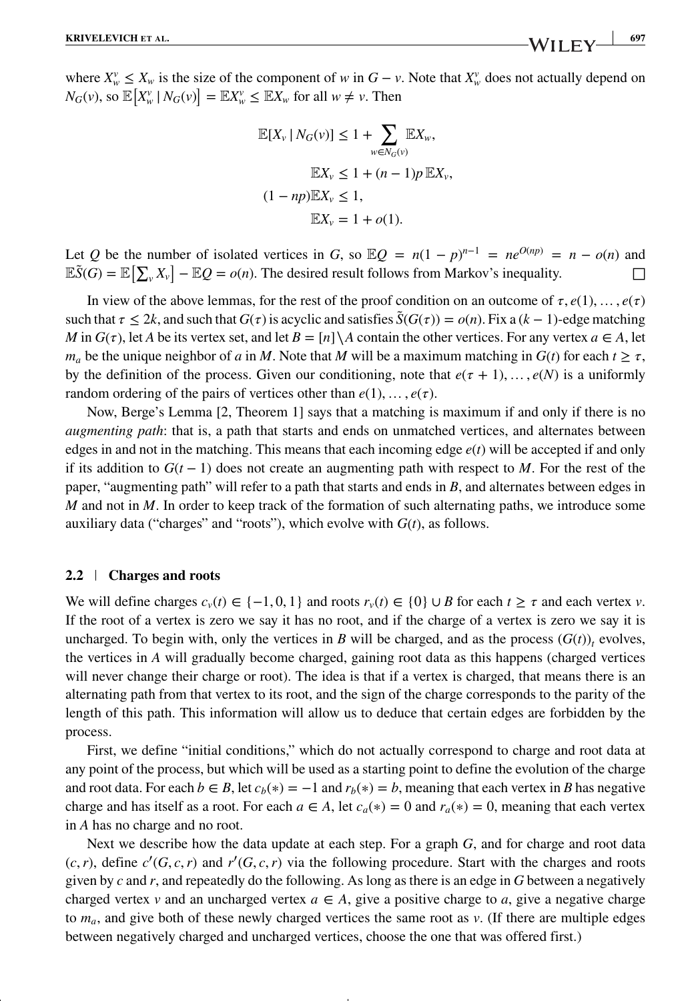where  $X_w^v \leq X_w$  is the size of the component of *w* in  $G - v$ . Note that  $X_w^v$  does not actually depend on  $N_G(v)$ , so  $\mathbb{E}\left[X_w^v \mid N_G(v)\right] = \mathbb{E}X_w^v \leq \mathbb{E}X_w$  for all  $w \neq v$ . Then

$$
\mathbb{E}[X_v | N_G(v)] \le 1 + \sum_{w \in N_G(v)} \mathbb{E}X_w,
$$
  

$$
\mathbb{E}X_v \le 1 + (n - 1)p \mathbb{E}X_v,
$$
  

$$
(1 - np)\mathbb{E}X_v \le 1,
$$
  

$$
\mathbb{E}X_v = 1 + o(1).
$$

Let *Q* be the number of isolated vertices in *G*, so  $\mathbb{E}Q = n(1 - p)^{n-1} = ne^{O(np)} = n - o(n)$  and  $\mathbb{E}\tilde{S}(G) = \mathbb{E}\left[\sum_{v} X_{v}\right] - \mathbb{E}Q = o(n)$ . The desired result follows from Markov's inequality.

In view of the above lemmas, for the rest of the proof condition on an outcome of  $\tau$ ,  $e(1)$ , ...,  $e(\tau)$ such that  $\tau \leq 2k$ , and such that  $G(\tau)$  is acyclic and satisfies  $\bar{S}(G(\tau)) = o(n)$ . Fix a  $(k-1)$ -edge matching *M* in  $G(\tau)$ , let *A* be its vertex set, and let  $B = [n] \setminus A$  contain the other vertices. For any vertex  $a \in A$ , let  $m_a$  be the unique neighbor of *a* in *M*. Note that *M* will be a maximum matching in  $G(t)$  for each  $t \geq \tau$ , by the definition of the process. Given our conditioning, note that  $e(\tau + 1), \ldots, e(N)$  is a uniformly random ordering of the pairs of vertices other than  $e(1), \ldots, e(\tau)$ .

Now, Berge's Lemma [2, Theorem 1] says that a matching is maximum if and only if there is no *augmenting path*: that is, a path that starts and ends on unmatched vertices, and alternates between edges in and not in the matching. This means that each incoming edge  $e(t)$  will be accepted if and only if its addition to  $G(t-1)$  does not create an augmenting path with respect to *M*. For the rest of the paper, "augmenting path" will refer to a path that starts and ends in *B*, and alternates between edges in *M* and not in *M*. In order to keep track of the formation of such alternating paths, we introduce some auxiliary data ("charges" and "roots"), which evolve with  $G(t)$ , as follows.

#### **2.2 Charges and roots**

We will define charges  $c_v(t) \in \{-1, 0, 1\}$  and roots  $r_v(t) \in \{0\} \cup B$  for each  $t \geq \tau$  and each vertex  $v$ . If the root of a vertex is zero we say it has no root, and if the charge of a vertex is zero we say it is uncharged. To begin with, only the vertices in *B* will be charged, and as the process  $(G(t))$ , evolves, the vertices in *A* will gradually become charged, gaining root data as this happens (charged vertices will never change their charge or root). The idea is that if a vertex is charged, that means there is an alternating path from that vertex to its root, and the sign of the charge corresponds to the parity of the length of this path. This information will allow us to deduce that certain edges are forbidden by the process.

First, we define "initial conditions," which do not actually correspond to charge and root data at any point of the process, but which will be used as a starting point to define the evolution of the charge and root data. For each  $b \in B$ , let  $c_b(*) = -1$  and  $r_b(*) = b$ , meaning that each vertex in *B* has negative charge and has itself as a root. For each  $a \in A$ , let  $c_a(*) = 0$  and  $r_a(*) = 0$ , meaning that each vertex in *A* has no charge and no root.

Next we describe how the data update at each step. For a graph *G*, and for charge and root data  $(c, r)$ , define  $c'(G, c, r)$  and  $r'(G, c, r)$  via the following procedure. Start with the charges and roots given by *c* and *r*, and repeatedly do the following. As long as there is an edge in *G* between a negatively charged vertex *v* and an uncharged vertex  $a \in A$ , give a positive charge to *a*, give a negative charge to *ma*, and give both of these newly charged vertices the same root as *v*. (If there are multiple edges between negatively charged and uncharged vertices, choose the one that was offered first.)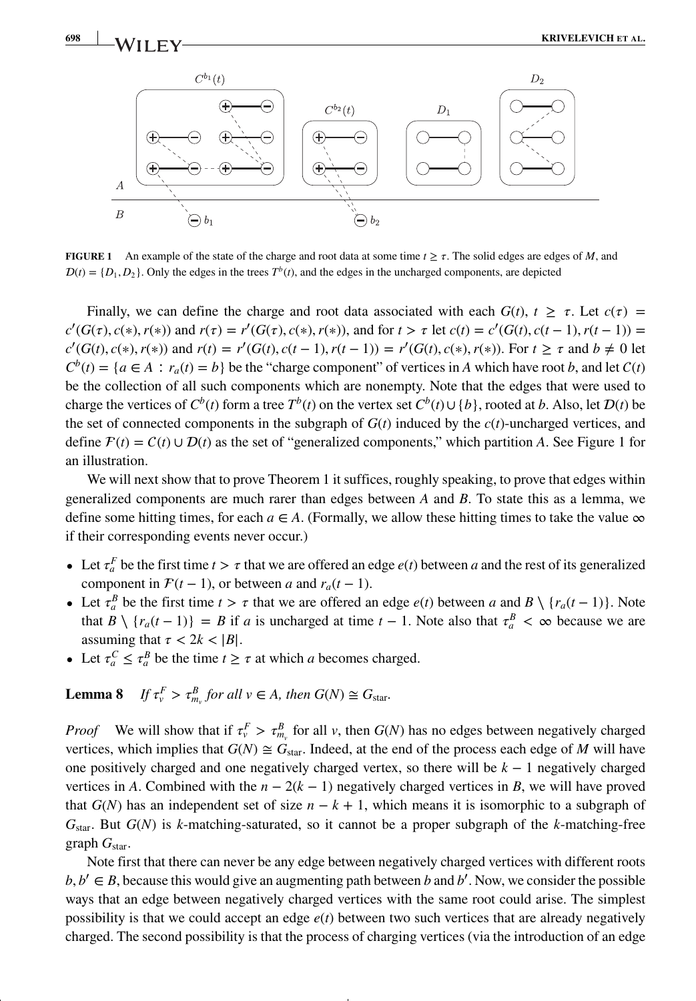

**FIGURE 1** An example of the state of the charge and root data at some time  $t \geq \tau$ . The solid edges are edges of *M*, and  $D(t) = \{D_1, D_2\}$ . Only the edges in the trees  $T<sup>b</sup>(t)$ , and the edges in the uncharged components, are depicted

 $\bigoplus b_2$ 

Finally, we can define the charge and root data associated with each  $G(t)$ ,  $t \geq \tau$ . Let  $c(\tau)$  $c'(G(\tau), c(*), r(*))$  and  $r(\tau) = r'(G(\tau), c(*), r(*))$ , and for  $t > \tau$  let  $c(t) = c'(G(t), c(t-1), r(t-1)) =$  $c'(G(t), c(*), r(*))$  and  $r(t) = r'(G(t), c(t-1), r(t-1)) = r'(G(t), c(*), r(*))$ . For  $t \ge \tau$  and  $b \ne 0$  let  $C^b(t) = \{a \in A : r_a(t) = b\}$  be the "charge component" of vertices in *A* which have root *b*, and let  $C(t)$ be the collection of all such components which are nonempty. Note that the edges that were used to charge the vertices of  $C^b(t)$  form a tree  $T^b(t)$  on the vertex set  $C^b(t) \cup \{b\}$ , rooted at *b*. Also, let  $D(t)$  be the set of connected components in the subgraph of  $G(t)$  induced by the  $c(t)$ -uncharged vertices, and define  $F(t) = C(t) \cup D(t)$  as the set of "generalized components," which partition *A*. See Figure 1 for an illustration.

We will next show that to prove Theorem 1 it suffices, roughly speaking, to prove that edges within generalized components are much rarer than edges between *A* and *B*. To state this as a lemma, we define some hitting times, for each  $a \in A$ . (Formally, we allow these hitting times to take the value  $\infty$ if their corresponding events never occur.)

- Let  $\tau_a^F$  be the first time  $t > \tau$  that we are offered an edge  $e(t)$  between *a* and the rest of its generalized component in  $\mathcal{F}(t - 1)$ , or between *a* and  $r_a(t - 1)$ .
- Let  $\tau_a^B$  be the first time  $t > \tau$  that we are offered an edge  $e(t)$  between *a* and  $B \setminus \{r_a(t-1)\}\)$ . Note that  $B \setminus \{r_a(t-1)\} = B$  if *a* is uncharged at time  $t-1$ . Note also that  $\tau_a^B < \infty$  because we are assuming that  $\tau < 2k < |B|$ .
- Let  $\tau_a^C \leq \tau_a^B$  be the time  $t \geq \tau$  at which *a* becomes charged.

#### **Lemma 8**  $v_v^F > \tau_{m_v}^B$  *for all*  $v \in A$ *, then*  $G(N) \cong G_{\text{star}}$ *.*

 $\overline{B}$ 

 $\ominus b_1$ 

*Proof* We will show that if  $\tau_v^F > \tau_{m_v}^B$  for all *v*, then *G*(*N*) has no edges between negatively charged vertices, which implies that  $G(N) \cong G_{\text{star}}$ . Indeed, at the end of the process each edge of *M* will have one positively charged and one negatively charged vertex, so there will be *k* − 1 negatively charged vertices in *A*. Combined with the  $n - 2(k - 1)$  negatively charged vertices in *B*, we will have proved that  $G(N)$  has an independent set of size  $n - k + 1$ , which means it is isomorphic to a subgraph of *G*star. But *G*(*N*) is *k*-matching-saturated, so it cannot be a proper subgraph of the *k*-matching-free graph  $G_{\text{star}}$ .

Note first that there can never be any edge between negatively charged vertices with different roots  $b, b' \in B$ , because this would give an augmenting path between *b* and *b'*. Now, we consider the possible ways that an edge between negatively charged vertices with the same root could arise. The simplest possibility is that we could accept an edge  $e(t)$  between two such vertices that are already negatively charged. The second possibility is that the process of charging vertices (via the introduction of an edge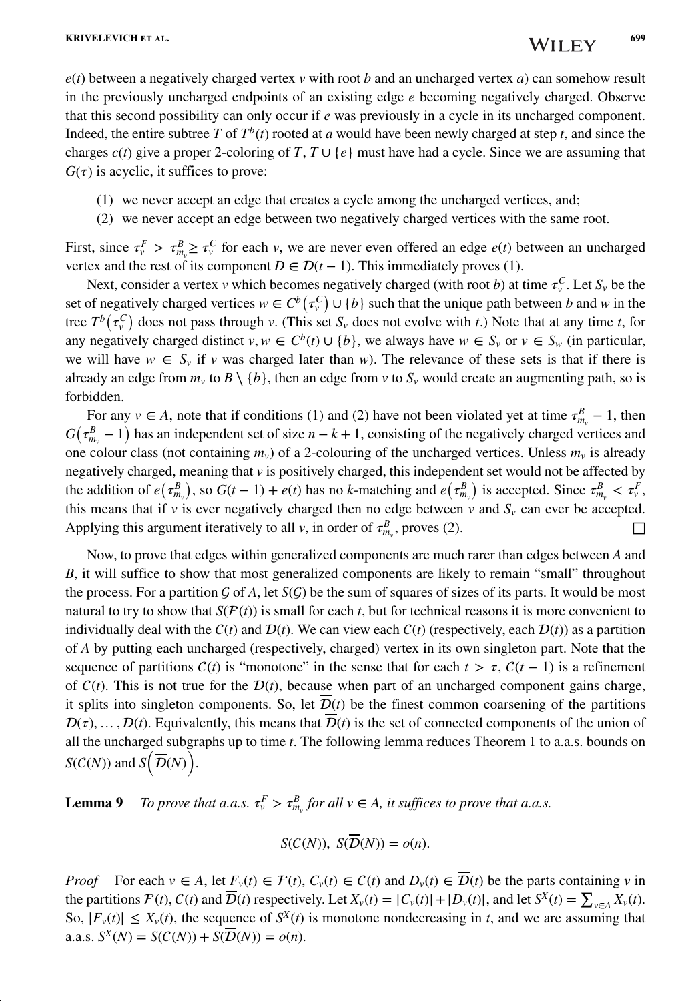*e*(*t*) between a negatively charged vertex *v* with root *b* and an uncharged vertex *a*) can somehow result in the previously uncharged endpoints of an existing edge *e* becoming negatively charged. Observe that this second possibility can only occur if *e* was previously in a cycle in its uncharged component. Indeed, the entire subtree *T* of  $T^b(t)$  rooted at *a* would have been newly charged at step *t*, and since the charges  $c(t)$  give a proper 2-coloring of *T*,  $T \cup \{e\}$  must have had a cycle. Since we are assuming that  $G(\tau)$  is acyclic, it suffices to prove:

- (1) we never accept an edge that creates a cycle among the uncharged vertices, and;
- (2) we never accept an edge between two negatively charged vertices with the same root.

First, since  $\tau_v^F > \tau_{m_v}^B \ge \tau_v^C$  for each *v*, we are never even offered an edge *e*(*t*) between an uncharged vertex and the rest of its component  $D \in \mathcal{D}(t-1)$ . This immediately proves (1).

Next, consider a vertex *v* which becomes negatively charged (with root *b*) at time  $\tau_v^C$ . Let  $S_v$  be the set of negatively charged vertices  $w \in C^b(\tau_v^C) \cup \{b\}$  such that the unique path between *b* and *w* in the tree  $T^b(\tau_v^C)$  does not pass through *v*. (This set  $S_v$  does not evolve with *t*.) Note that at any time *t*, for any negatively charged distinct  $v, w \in C^b(t) \cup \{b\}$ , we always have  $w \in S_v$  or  $v \in S_w$  (in particular, we will have  $w \in S_v$  if *v* was charged later than *w*). The relevance of these sets is that if there is already an edge from  $m_v$  to  $B \setminus \{b\}$ , then an edge from  $v$  to  $S_v$  would create an augmenting path, so is forbidden.

For any  $v \in A$ , note that if conditions (1) and (2) have not been violated yet at time  $\tau_{m_v}^B - 1$ , then  $G(\tau_{m_v}^B - 1)$  has an independent set of size  $n - k + 1$ , consisting of the negatively charged vertices and one colour class (not containing  $m_v$ ) of a 2-colouring of the uncharged vertices. Unless  $m_v$  is already negatively charged, meaning that *v* is positively charged, this independent set would not be affected by the addition of  $e(\tau_{m_v}^B)$ , so  $G(t-1) + e(t)$  has no *k*-matching and  $e(\tau_{m_v}^B)$  is accepted. Since  $\tau_{m_v}^B < \tau_v^F$ , this means that if  $\nu$  is ever negatively charged then no edge between  $\nu$  and  $S_{\nu}$  can ever be accepted. Applying this argument iteratively to all *v*, in order of  $\tau_{m_v}^B$ , proves (2).

Now, to prove that edges within generalized components are much rarer than edges between *A* and *B*, it will suffice to show that most generalized components are likely to remain "small" throughout the process. For a partition  $\mathcal G$  of A, let  $\mathcal S(\mathcal G)$  be the sum of squares of sizes of its parts. It would be most natural to try to show that  $S(F(t))$  is small for each *t*, but for technical reasons it is more convenient to individually deal with the  $C(t)$  and  $D(t)$ . We can view each  $C(t)$  (respectively, each  $D(t)$ ) as a partition of *A* by putting each uncharged (respectively, charged) vertex in its own singleton part. Note that the sequence of partitions  $C(t)$  is "monotone" in the sense that for each  $t > \tau$ ,  $C(t - 1)$  is a refinement of  $C(t)$ . This is not true for the  $D(t)$ , because when part of an uncharged component gains charge, it splits into singleton components. So, let  $D(t)$  be the finest common coarsening of the partitions  $\mathcal{D}(\tau), \ldots, \mathcal{D}(t)$ . Equivalently, this means that  $\overline{\mathcal{D}}(t)$  is the set of connected components of the union of all the uncharged subgraphs up to time *t*. The following lemma reduces Theorem 1 to a.a.s. bounds on  $S(C(N))$  and  $S(\overline{\mathcal{D}}(N))$ .

**Lemma 9** *To prove that a.a.s.*  $\tau_v^F > \tau_{m_v}^B$  *for all v*  $\in$  *A, it suffices to prove that a.a.s.* 

$$
S(C(N)), S(\overline{D}(N)) = o(n).
$$

*Proof* For each  $v \in A$ , let  $F_v(t) \in \mathcal{F}(t)$ ,  $C_v(t) \in \mathcal{C}(t)$  and  $D_v(t) \in \overline{\mathcal{D}}(t)$  be the parts containing *v* in the partitions  $\mathcal{F}(t)$ ,  $C(t)$  and  $\overline{\mathcal{D}}(t)$  respectively. Let  $X_v(t) = |C_v(t)| + |D_v(t)|$ , and let  $S^X(t) = \sum_{v \in A} X_v(t)$ . So,  $|F_v(t)| \leq X_v(t)$ , the sequence of  $S^X(t)$  is monotone nondecreasing in *t*, and we are assuming that a.a.s.  $S^X(N) = S(C(N)) + S(\overline{D}(N)) = o(n)$ .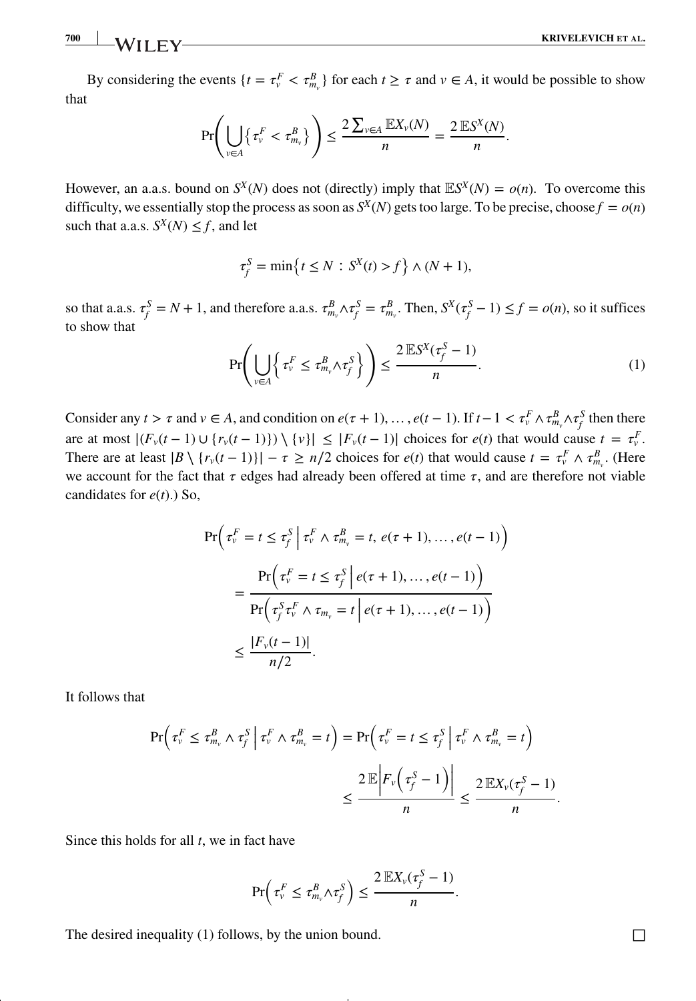$$
\frac{700}{100}
$$

By considering the events  $\{t = \tau_v^F < \tau_{m_v}^B\}$  for each  $t \ge \tau$  and  $v \in A$ , it would be possible to show that

$$
\Pr\left(\bigcup_{v\in A}\left\{\tau_{v}^{F} < \tau_{m_{v}}^{B}\right\}\right) \leq \frac{2\sum_{v\in A}\mathbb{E}X_{v}(N)}{n} = \frac{2\mathbb{E}S^{X}(N)}{n}.
$$

However, an a.a.s. bound on  $S^X(N)$  does not (directly) imply that  $\mathbb{E}S^X(N) = o(n)$ . To overcome this difficulty, we essentially stop the process as soon as  $S^X(N)$  gets too large. To be precise, choose  $f = o(n)$ such that a.a.s.  $S^X(N) \leq f$ , and let

$$
\tau_f^S = \min\left\{t \le N : S^X(t) > f\right\} \wedge (N+1),
$$

so that a.a.s.  $\tau_f^S = N + 1$ , and therefore a.a.s.  $\tau_{m_v}^B \wedge \tau_f^S = \tau_{m_v}^B$ . Then,  $S^X(\tau_f^S - 1) \le f = o(n)$ , so it suffices to show that

$$
\Pr\left(\bigcup_{v\in A} \left\{\tau_v^F \le \tau_{m_v}^B \wedge \tau_f^S\right\}\right) \le \frac{2\mathbb{E}S^X(\tau_f^S - 1)}{n}.\tag{1}
$$

Consider any  $t > \tau$  and  $v \in A$ , and condition on  $e(\tau + 1), \ldots, e(t-1)$ . If  $t-1 < \tau_v^F \wedge \tau_{m_v}^B \wedge \tau_f^S$  then there are at most  $| (F_v(t-1) \cup \{ r_v(t-1) \}) \setminus \{ v \} | \leq |F_v(t-1)|$  choices for  $e(t)$  that would cause  $t = \tau_v^F$ . There are at least  $|B \setminus \{r_v(t-1)\}| - \tau \ge n/2$  choices for  $e(t)$  that would cause  $t = \tau_v^F \wedge \tau_{m_v}^B$ . (Here we account for the fact that  $\tau$  edges had already been offered at time  $\tau$ , and are therefore not viable candidates for *e*(*t*).) So,

$$
\Pr\left(\tau_v^F = t \le \tau_j^S \middle| \tau_v^F \land \tau_{m_v}^B = t, e(\tau + 1), \dots, e(t - 1)\right)
$$
\n
$$
= \frac{\Pr\left(\tau_v^F = t \le \tau_j^S \middle| e(\tau + 1), \dots, e(t - 1)\right)}{\Pr\left(\tau_j^S \tau_v^F \land \tau_{m_v} = t \middle| e(\tau + 1), \dots, e(t - 1)\right)}
$$
\n
$$
\le \frac{|F_v(t - 1)|}{n/2}.
$$

It follows that

$$
\Pr\left(\tau_v^F \le \tau_{m_v}^B \land \tau_f^S \middle| \tau_v^F \land \tau_{m_v}^B = t\right) = \Pr\left(\tau_v^F = t \le \tau_f^S \middle| \tau_v^F \land \tau_{m_v}^B = t\right)
$$

$$
\le \frac{2 \mathbb{E} \left| F_v \left( \tau_f^S - 1 \right) \right|}{n} \le \frac{2 \mathbb{E} X_v(\tau_f^S - 1)}{n}.
$$

Since this holds for all *t*, we in fact have

$$
\Pr\left(\tau_{\nu}^F \leq \tau_{m_{\nu}}^B \wedge \tau_{f}^S\right) \leq \frac{2 \mathbb{E} X_{\nu}(\tau_{f}^S - 1)}{n}.
$$

The desired inequality (1) follows, by the union bound.  $\Box$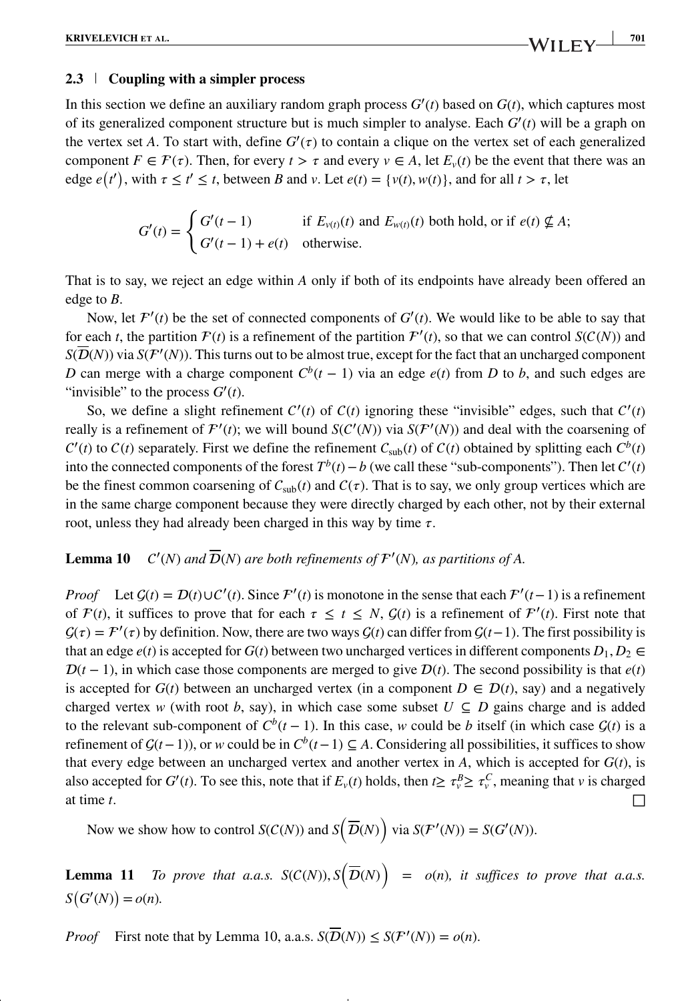### **2.3 Coupling with a simpler process**

In this section we define an auxiliary random graph process  $G'(t)$  based on  $G(t)$ , which captures most of its generalized component structure but is much simpler to analyse. Each *G*′ (*t*) will be a graph on the vertex set *A*. To start with, define  $G'(\tau)$  to contain a clique on the vertex set of each generalized component  $F \in \mathcal{F}(\tau)$ . Then, for every  $t > \tau$  and every  $v \in A$ , let  $E_v(t)$  be the event that there was an edge  $e(t')$ , with  $\tau \le t' \le t$ , between *B* and *v*. Let  $e(t) = \{v(t), w(t)\}$ , and for all  $t > \tau$ , let

$$
G'(t) = \begin{cases} G'(t-1) & \text{if } E_{\nu(t)}(t) \text{ and } E_{\nu(t)}(t) \text{ both hold, or if } e(t) \nsubseteq A; \\ G'(t-1) + e(t) & \text{otherwise.} \end{cases}
$$

That is to say, we reject an edge within *A* only if both of its endpoints have already been offered an edge to *B*.

Now, let  $\mathcal{F}'(t)$  be the set of connected components of  $G'(t)$ . We would like to be able to say that for each *t*, the partition  $F(t)$  is a refinement of the partition  $F'(t)$ , so that we can control  $S(C(N))$  and  $S(D(N))$  via  $S(\mathcal{F}'(N))$ . This turns out to be almost true, except for the fact that an uncharged component *D* can merge with a charge component  $C^b(t-1)$  via an edge  $e(t)$  from *D* to *b*, and such edges are "invisible" to the process  $G'(t)$ .

So, we define a slight refinement  $C'(t)$  of  $C(t)$  ignoring these "invisible" edges, such that  $C'(t)$ really is a refinement of  $\mathcal{F}'(t)$ ; we will bound  $\mathcal{S}(\mathcal{C}'(N))$  via  $\mathcal{S}(\mathcal{F}'(N))$  and deal with the coarsening of  $C'(t)$  to  $C(t)$  separately. First we define the refinement  $C_{sub}(t)$  of  $C(t)$  obtained by splitting each  $C^b(t)$ into the connected components of the forest  $T^b(t) - b$  (we call these "sub-components"). Then let  $C'(t)$ be the finest common coarsening of  $C_{sub}(t)$  and  $C(\tau)$ . That is to say, we only group vertices which are in the same charge component because they were directly charged by each other, not by their external root, unless they had already been charged in this way by time  $\tau$ .

#### Lemma 10 (*N*) and  $D(N)$  are both refinements of  $F'(N)$ , as partitions of A.

*Proof* Let  $G(t) = D(t) \cup C'(t)$ . Since  $\mathcal{F}'(t)$  is monotone in the sense that each  $\mathcal{F}'(t-1)$  is a refinement of  $F(t)$ , it suffices to prove that for each  $\tau \leq t \leq N$ ,  $G(t)$  is a refinement of  $F'(t)$ . First note that  $G(\tau) = \mathcal{F}'(\tau)$  by definition. Now, there are two ways  $G(t)$  can differ from  $G(t-1)$ . The first possibility is that an edge  $e(t)$  is accepted for  $G(t)$  between two uncharged vertices in different components  $D_1, D_2 \in$  $D(t-1)$ , in which case those components are merged to give  $D(t)$ . The second possibility is that  $e(t)$ is accepted for  $G(t)$  between an uncharged vertex (in a component  $D \in \mathcal{D}(t)$ , say) and a negatively charged vertex *w* (with root *b*, say), in which case some subset  $U \subseteq D$  gains charge and is added to the relevant sub-component of  $C^b(t-1)$ . In this case, *w* could be *b* itself (in which case  $G(t)$  is a refinement of  $\mathcal{G}(t-1)$ ), or *w* could be in  $C^b(t-1) \subseteq A$ . Considering all possibilities, it suffices to show that every edge between an uncharged vertex and another vertex in  $A$ , which is accepted for  $G(t)$ , is also accepted for  $G'(t)$ . To see this, note that if  $E_v(t)$  holds, then  $t \ge \tau_v^B \ge \tau_v^C$ , meaning that *v* is charged at time *t*.

Now we show how to control  $S(C(N))$  and  $S(\overline{D}(N))$  via  $S(\mathcal{F}'(N)) = S(G'(N))$ .

**Lemma 11** *To prove that a.a.s.*  $S(C(N)), S(\overline{D}(N)) = o(n)$ *, it suffices to prove that a.a.s.*  $S(G'(N)) = o(n)$ .

*Proof* First note that by Lemma 10, a.a.s.  $S(\overline{D}(N)) \leq S(\mathcal{F}'(N)) = o(n)$ .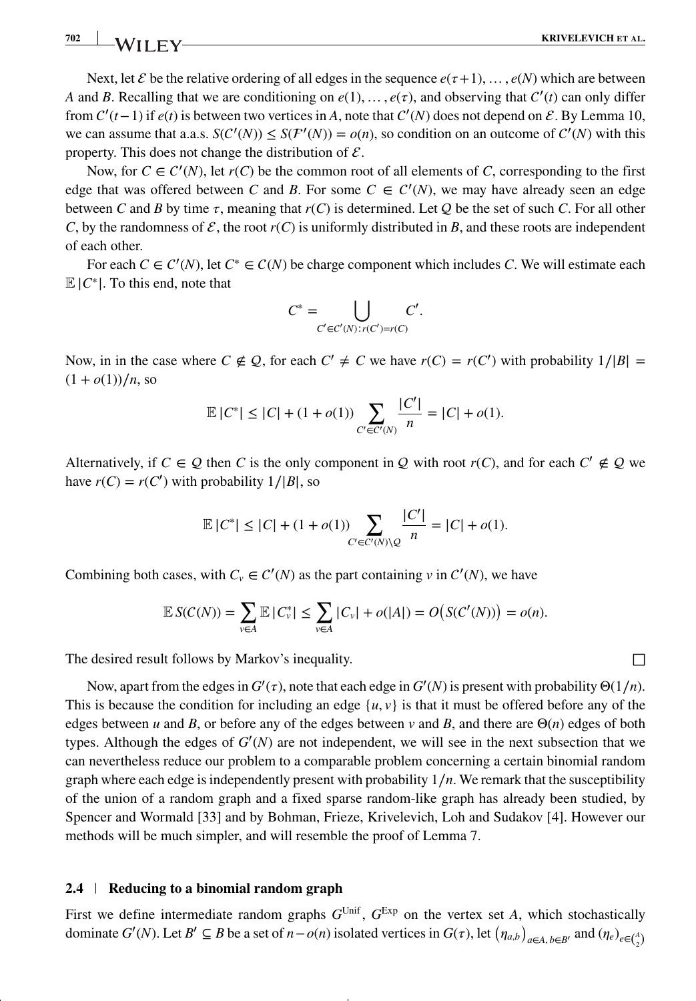**702 KRIVELEVICH** ET AL.

Next, let  $\mathcal E$  be the relative ordering of all edges in the sequence  $e(\tau+1), \ldots, e(N)$  which are between *A* and *B*. Recalling that we are conditioning on  $e(1), \ldots, e(\tau)$ , and observing that  $C'(t)$  can only differ from  $C'(t-1)$  if  $e(t)$  is between two vertices in *A*, note that  $C'(N)$  does not depend on  $\mathcal{E}$ . By Lemma 10, we can assume that a.a.s.  $S(C'(N)) \leq S(F'(N)) = o(n)$ , so condition on an outcome of  $C'(N)$  with this property. This does not change the distribution of  $\mathcal{E}$ .

Now, for  $C \in C'(N)$ , let  $r(C)$  be the common root of all elements of *C*, corresponding to the first edge that was offered between *C* and *B*. For some  $C \in C'(N)$ , we may have already seen an edge between *C* and *B* by time  $\tau$ , meaning that  $r(C)$  is determined. Let *Q* be the set of such *C*. For all other *C*, by the randomness of  $\mathcal{E}$ , the root  $r(C)$  is uniformly distributed in *B*, and these roots are independent of each other.

For each  $C \in C'(N)$ , let  $C^* \in C(N)$  be charge component which includes *C*. We will estimate each  $\mathbb{E}|C^*|$ . To this end, note that

$$
C^* = \bigcup_{C' \in C'(N): r(C') = r(C)} C'.
$$

Now, in in the case where  $C \notin Q$ , for each  $C' \neq C$  we have  $r(C) = r(C')$  with probability  $1/|B| =$  $(1 + o(1))/n$ , so

$$
\mathbb{E}|C^*| \leq |C| + (1 + o(1)) \sum_{C' \in C'(N)} \frac{|C'|}{n} = |C| + o(1).
$$

Alternatively, if  $C \in \mathcal{Q}$  then *C* is the only component in  $\mathcal{Q}$  with root  $r(C)$ , and for each  $C' \notin \mathcal{Q}$  we have  $r(C) = r(C')$  with probability  $1/|B|$ , so

$$
\mathbb{E}|C^*| \le |C| + (1 + o(1)) \sum_{C' \in C'(N) \setminus \mathcal{Q}} \frac{|C'|}{n} = |C| + o(1).
$$

Combining both cases, with  $C_v \in C'(N)$  as the part containing *v* in  $C'(N)$ , we have

$$
\mathbb{E} S(C(N)) = \sum_{v \in A} \mathbb{E} |C_v^*| \le \sum_{v \in A} |C_v| + o(|A|) = O(S(C'(N))) = o(n).
$$

The desired result follows by Markov's inequality.  $\Box$ 

Now, apart from the edges in  $G'(\tau)$ , note that each edge in  $G'(N)$  is present with probability  $\Theta(1/n)$ . This is because the condition for including an edge  $\{u, v\}$  is that it must be offered before any of the edges between *u* and *B*, or before any of the edges between *v* and *B*, and there are  $\Theta(n)$  edges of both types. Although the edges of *G*′ (*N*) are not independent, we will see in the next subsection that we can nevertheless reduce our problem to a comparable problem concerning a certain binomial random graph where each edge is independently present with probability 1∕*n*. We remark that the susceptibility of the union of a random graph and a fixed sparse random-like graph has already been studied, by Spencer and Wormald [33] and by Bohman, Frieze, Krivelevich, Loh and Sudakov [4]. However our methods will be much simpler, and will resemble the proof of Lemma 7.

### **2.4 Reducing to a binomial random graph**

First we define intermediate random graphs  $G^{\text{Unif}}$ ,  $G^{\text{Exp}}$  on the vertex set *A*, which stochastically dominate  $G'(N)$ . Let  $B' \subseteq B$  be a set of  $n - o(n)$  isolated vertices in  $G(\tau)$ , let  $(\eta_{a,b})_{a \in A, b \in B'}$  and  $(\eta_e)_{e \in {A \choose 2}}$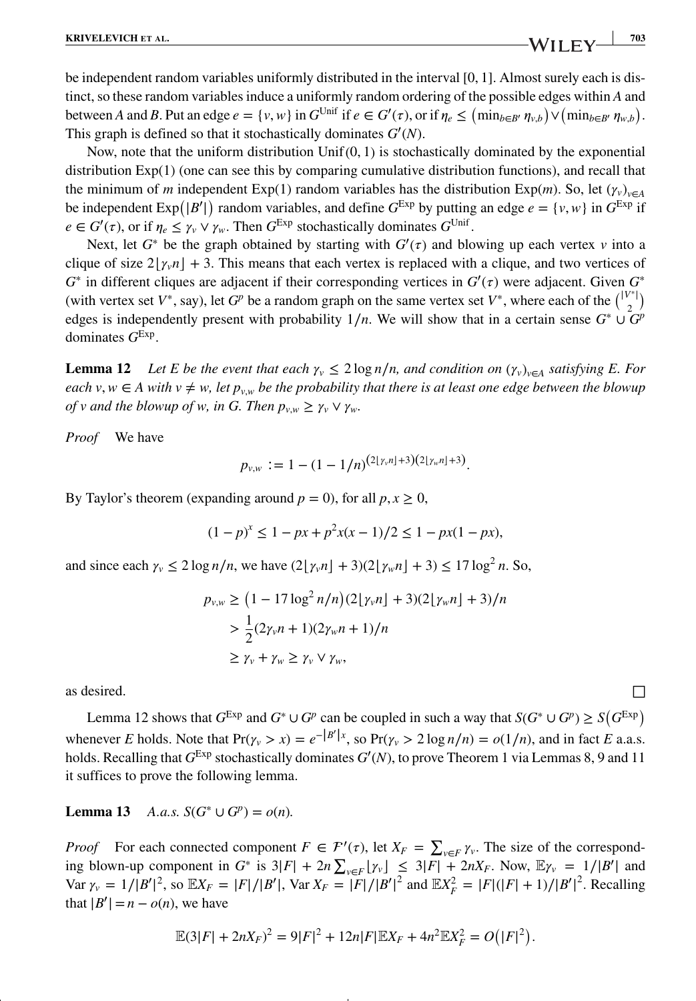be independent random variables uniformly distributed in the interval [0*,* 1]. Almost surely each is distinct, so these random variables induce a uniformly random ordering of the possible edges within *A* and between A and B. Put an edge  $e = \{v, w\}$  in  $G^{\text{Unif}}$  if  $e \in G'(\tau)$ , or if  $\eta_e \le (\min_{b \in B'} \eta_{v,b}) \vee (\min_{b \in B'} \eta_{w,b})$ . This graph is defined so that it stochastically dominates *G*′ (*N*).

Now, note that the uniform distribution Unif(0*,* 1) is stochastically dominated by the exponential distribution Exp(1) (one can see this by comparing cumulative distribution functions), and recall that the minimum of *m* independent Exp(1) random variables has the distribution Exp(*m*). So, let ( $\gamma$ <sup>*v*</sup><sub>*v*</sub> $\epsilon$ <sup>*A*</sup> be independent  $\text{Exp}(|B'|)$  random variables, and define  $G^{\text{Exp}}$  by putting an edge  $e = \{v, w\}$  in  $G^{\text{Exp}}$  if  $e \in G'(\tau)$ , or if  $\eta_e \leq \gamma_v \vee \gamma_w$ . Then  $G^{\text{Exp}}$  stochastically dominates  $G^{\text{Unif}}$ .

Next, let  $G^*$  be the graph obtained by starting with  $G'(\tau)$  and blowing up each vertex *v* into a clique of size  $2|\gamma_v n| + 3$ . This means that each vertex is replaced with a clique, and two vertices of  $G^*$  in different cliques are adjacent if their corresponding vertices in  $G'(\tau)$  were adjacent. Given  $G^*$ (with vertex set  $V^*$ , say), let  $G^p$  be a random graph on the same vertex set  $V^*$ , where each of the  $\binom{|V^*|}{2}$ edges is independently present with probability  $1/n$ . We will show that in a certain sense  $G^* \cup G^p$ dominates *G*Exp.

**Lemma 12** *Let E be the event that each*  $\gamma_v \leq 2 \log n/n$ , and condition on  $(\gamma_v)_{v \in A}$  satisfying E. For *each v*,  $w \in A$  with  $v \neq w$ , let  $p_{v,w}$  be the probability that there is at least one edge between the blowup *of v and the blowup of w, in G. Then*  $p_{v,w} \geq \gamma_v \vee \gamma_w$ *.* 

*Proof* We have

$$
p_{v,w} := 1 - (1 - 1/n)^{(2\lfloor \gamma_v n \rfloor + 3)(2\lfloor \gamma_w n \rfloor + 3)}.
$$

By Taylor's theorem (expanding around  $p = 0$ ), for all  $p, x \ge 0$ ,

$$
(1 - p)^x \le 1 - px + p^2x(x - 1)/2 \le 1 - px(1 - px),
$$

and since each  $\gamma_v \leq 2 \log n/n$ , we have  $\left(2\left[\gamma_v n\right] + 3\right)\left(2\left[\gamma_w n\right] + 3\right) \leq 17 \log^2 n$ . So,

$$
p_{v,w} \ge (1 - 17 \log^2 n/n) (2[\gamma_v n] + 3)(2[\gamma_w n] + 3)/n
$$
  
>  $\frac{1}{2} (2\gamma_v n + 1) (2\gamma_w n + 1)/n$   
>  $\gamma_v + \gamma_w \ge \gamma_v \vee \gamma_w$ ,

as desired.  $\Box$ 

Lemma 12 shows that  $G^{Exp}$  and  $G^* \cup G^p$  can be coupled in such a way that  $S(G^* \cup G^p) \geq S(G^{Exp})$ whenever *E* holds. Note that  $Pr(\gamma_v > x) = e^{-|B'|x}$ , so  $Pr(\gamma_v > 2 \log n/n) = o(1/n)$ , and in fact *E* a.a.s. holds. Recalling that *G*Exp stochastically dominates *G*′ (*N*), to prove Theorem 1 via Lemmas 8, 9 and 11 it suffices to prove the following lemma.

**Lemma 13** *A.a.s.*  $S(G^* \cup G^p) = o(n)$ *.* 

*Proof* For each connected component  $F \in \mathcal{F}'(\tau)$ , let  $X_F = \sum_{v \in F} \gamma_v$ . The size of the corresponding blown-up component in  $G^*$  is  $3|F| + 2n \sum_{v \in F} |y_v| \leq 3|F| + 2nX_F$ . Now,  $\mathbb{E}y_v = 1/|B'|$  and  $Var \gamma_{v} = 1/|B'|^{2}$ , so  $E X_{F} = |F|/|B'|$ ,  $Var X_{F} = |F|/|B'|^{2}$  and  $E X_{F}^{2} = |F|(|F| + 1)/|B'|^{2}$ . Recalling that  $|B'| = n - o(n)$ , we have

$$
\mathbb{E}(3|F| + 2nX_F)^2 = 9|F|^2 + 12n|F|\mathbb{E}X_F + 4n^2\mathbb{E}X_F^2 = O(|F|^2).
$$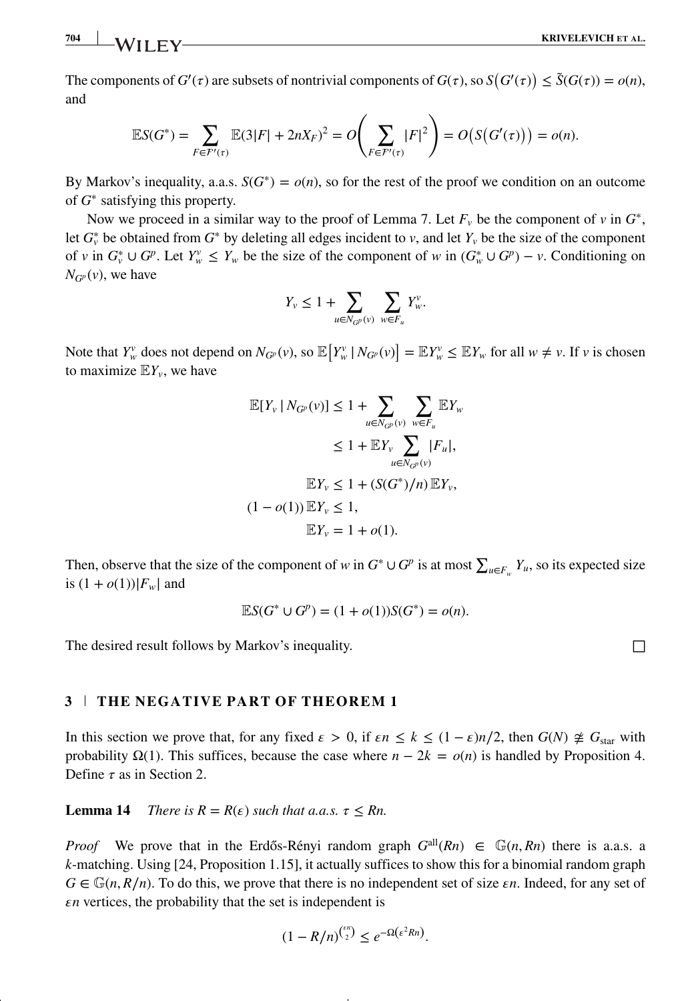The components of  $G'(\tau)$  are subsets of nontrivial components of  $G(\tau)$ , so  $S(G'(\tau)) \leq \tilde{S}(G(\tau)) = o(n)$ , and

$$
\mathbb{E}S(G^*) = \sum_{F \in F'(x)} \mathbb{E}(3|F| + 2nX_F)^2 = O\left(\sum_{F \in F'(x)} |F|^2\right) = O(S(G'(x))) = o(n).
$$

By Markov's inequality, a.a.s.  $S(G^*) = o(n)$ , so for the rest of the proof we condition on an outcome of *G*<sup>∗</sup> satisfying this property.

Now we proceed in a similar way to the proof of Lemma 7. Let  $F_v$  be the component of  $v$  in  $G^*$ , let  $G^*_{\nu}$  be obtained from  $G^*$  by deleting all edges incident to  $\nu$ , and let  $Y_{\nu}$  be the size of the component of *v* in  $G_v^* \cup G_v^p$ . Let  $Y_w^v \leq Y_w$  be the size of the component of *w* in  $(G_w^* \cup G_v^p) - v$ . Conditioning on  $N_{G_p}(v)$ , we have

$$
Y_v \le 1 + \sum_{u \in N_{G^p}(v)} \sum_{w \in F_u} Y_w^v.
$$

Note that  $Y_w^v$  does not depend on  $N_{G^p}(v)$ , so  $\mathbb{E}[Y_w^v | N_{G^p}(v)] = \mathbb{E}[Y_w^v \leq \mathbb{E}[Y_w^v]$  for all  $w \neq v$ . If v is chosen to maximize  $EY_v$ , we have

$$
\mathbb{E}[Y_{\nu} | N_{G^{p}}(\nu)] \le 1 + \sum_{u \in N_{G^{p}}(\nu)} \sum_{w \in F_{u}} \mathbb{E}Y_{w}
$$
  
\n
$$
\le 1 + \mathbb{E}Y_{\nu} \sum_{u \in N_{G^{p}}(\nu)} |F_{u}|,
$$
  
\n
$$
\mathbb{E}Y_{\nu} \le 1 + (S(G^{*})/n) \mathbb{E}Y_{\nu},
$$
  
\n
$$
(1 - o(1)) \mathbb{E}Y_{\nu} \le 1,
$$
  
\n
$$
\mathbb{E}Y_{\nu} = 1 + o(1).
$$

Then, observe that the size of the component of *w* in  $G^* \cup G^p$  is at most  $\sum_{u \in F_w} Y_u$ , so its expected size is  $(1 + o(1))|F_w|$  and

$$
\mathbb{E}S(G^* \cup G^p) = (1 + o(1))S(G^*) = o(n).
$$

The desired result follows by Markov's inequality.  $\Box$ 

## **3 THE NEGATIVE PART OF THEOREM 1**

In this section we prove that, for any fixed  $\epsilon > 0$ , if  $\epsilon n \leq k \leq (1 - \epsilon)n/2$ , then  $G(N) \not\cong G_{\text{star}}$  with probability  $\Omega(1)$ . This suffices, because the case where  $n - 2k = o(n)$  is handled by Proposition 4. Define  $\tau$  as in Section 2.

**Lemma 14** *There is*  $R = R(\varepsilon)$  *such that a.a.s.*  $\tau \leq Rn$ .

*Proof* We prove that in the Erdős-Rényi random graph  $G^{all}(Rn) \in \mathbb{G}(n, Rn)$  there is a.a.s. a *k*-matching. Using [24, Proposition 1.15], it actually suffices to show this for a binomial random graph  $G \in \mathbb{G}(n, R/n)$ . To do this, we prove that there is no independent set of size  $\varepsilon n$ . Indeed, for any set of  $\epsilon n$  vertices, the probability that the set is independent is

$$
(1 - R/n)^{\binom{\varepsilon n}{2}} \le e^{-\Omega(\varepsilon^2 R n)}.
$$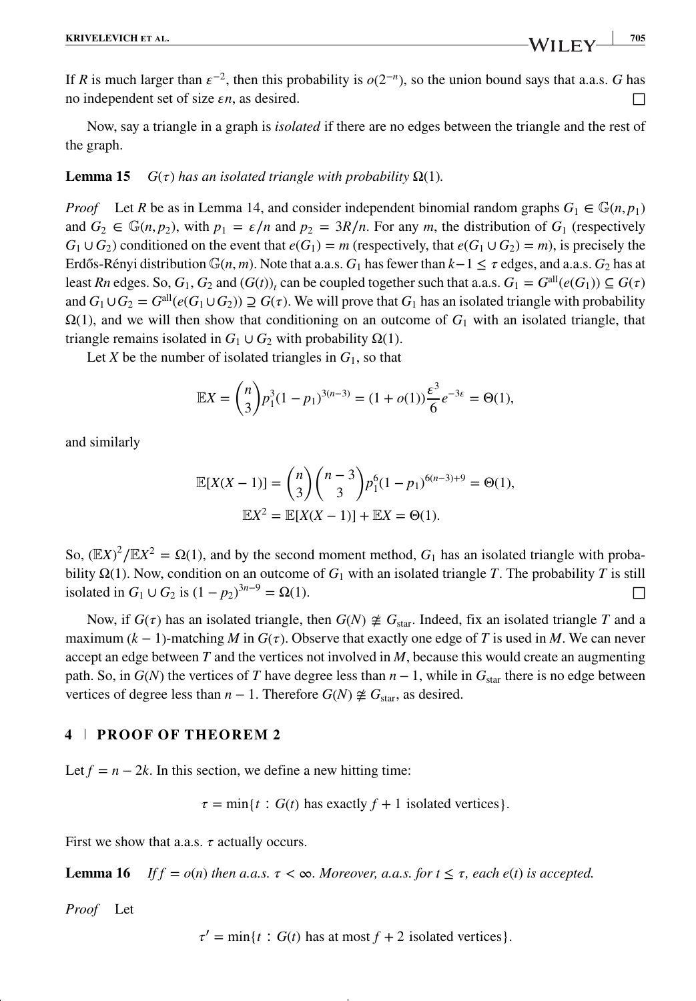Now, say a triangle in a graph is *isolated* if there are no edges between the triangle and the rest of the graph.

#### **Lemma 15** *G*(τ) *has an isolated triangle with probability*  $Ω(1)$ *.*

*Proof* Let *R* be as in Lemma 14, and consider independent binomial random graphs  $G_1 \in \mathbb{G}(n, p_1)$ and  $G_2 \in \mathbb{G}(n, p_2)$ , with  $p_1 = \varepsilon/n$  and  $p_2 = 3R/n$ . For any *m*, the distribution of  $G_1$  (respectively  $G_1 \cup G_2$  conditioned on the event that  $e(G_1) = m$  (respectively, that  $e(G_1 \cup G_2) = m$ ), is precisely the Erdős-Rényi distribution  $\mathbb{G}(n,m)$ . Note that a.a.s.  $G_1$  has fewer than  $k-1 \leq \tau$  edges, and a.a.s.  $G_2$  has at least *Rn* edges. So,  $G_1$ ,  $G_2$  and  $(G(t))$ , can be coupled together such that a.a.s.  $G_1 = G^{\text{all}}(e(G_1)) \subseteq G(\tau)$ and  $G_1 \cup G_2 = G^{all}(e(G_1 \cup G_2)) \supseteq G(\tau)$ . We will prove that  $G_1$  has an isolated triangle with probability  $\Omega(1)$ , and we will then show that conditioning on an outcome of  $G_1$  with an isolated triangle, that triangle remains isolated in  $G_1 \cup G_2$  with probability  $\Omega(1)$ .

Let *X* be the number of isolated triangles in  $G_1$ , so that

$$
\mathbb{E}X = \binom{n}{3} p_1^3 (1 - p_1)^{3(n-3)} = (1 + o(1)) \frac{\varepsilon^3}{6} e^{-3\varepsilon} = \Theta(1),
$$

and similarly

$$
\mathbb{E}[X(X-1)] = {n \choose 3} {n-3 \choose 3} p_1^{6} (1-p_1)^{6(n-3)+9} = \Theta(1),
$$
  

$$
\mathbb{E}X^2 = \mathbb{E}[X(X-1)] + \mathbb{E}X = \Theta(1).
$$

So,  $(\mathbb{E}X)^2 / \mathbb{E}X^2 = \Omega(1)$ , and by the second moment method,  $G_1$  has an isolated triangle with probability  $\Omega(1)$ . Now, condition on an outcome of  $G_1$  with an isolated triangle *T*. The probability *T* is still isolated in *G*<sub>1</sub> ∪ *G*<sub>2</sub> is  $(1 - p_2)^{3n-9} = Ω(1)$ .

Now, if  $G(\tau)$  has an isolated triangle, then  $G(N) \not\cong G_{\text{star}}$ . Indeed, fix an isolated triangle *T* and a maximum  $(k - 1)$ -matching *M* in  $G(\tau)$ . Observe that exactly one edge of *T* is used in *M*. We can never accept an edge between *T* and the vertices not involved in *M*, because this would create an augmenting path. So, in  $G(N)$  the vertices of *T* have degree less than  $n - 1$ , while in  $G<sub>star</sub>$  there is no edge between vertices of degree less than  $n - 1$ . Therefore  $G(N) \not\cong G_{\text{star}}$ , as desired.

#### **4 PROOF OF THEOREM 2**

Let  $f = n - 2k$ . In this section, we define a new hitting time:

 $\tau = \min\{t : G(t)$  has exactly  $f + 1$  isolated vertices}*.* 

First we show that a.a.s.  $\tau$  actually occurs.

**Lemma 16** *If f* =  $o(n)$  *then a.a.s.*  $\tau < \infty$ *. Moreover, a.a.s. for*  $t \leq \tau$ *, each e(t) is accepted.* 

*Proof* Let

 $\tau' = \min\{t : G(t)$  has at most  $f + 2$  isolated vertices}.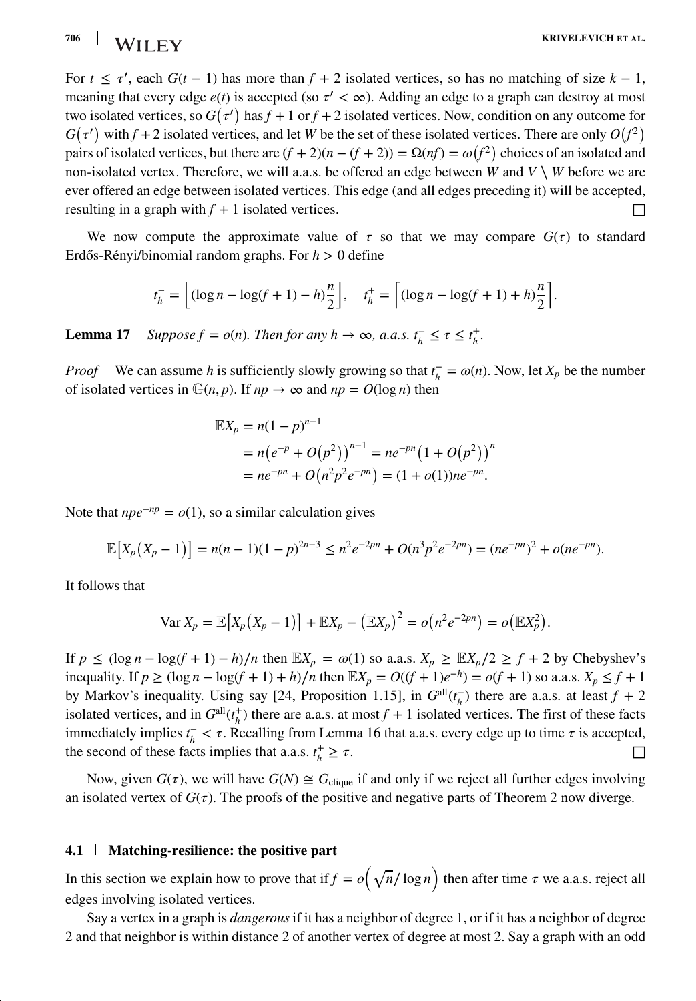For  $t \leq \tau'$ , each  $G(t-1)$  has more than  $f + 2$  isolated vertices, so has no matching of size  $k - 1$ , meaning that every edge  $e(t)$  is accepted (so  $\tau' < \infty$ ). Adding an edge to a graph can destroy at most two isolated vertices, so  $G(\tau')$  has  $f + 1$  or  $f + 2$  isolated vertices. Now, condition on any outcome for  $G(\tau')$  with  $f + 2$  isolated vertices, and let *W* be the set of these isolated vertices. There are only  $O(f^2)$ pairs of isolated vertices, but there are  $(f + 2)(n - (f + 2)) = \Omega(n f) = \omega(f^2)$  choices of an isolated and non-isolated vertex. Therefore, we will a.a.s. be offered an edge between *W* and  $V \setminus W$  before we are ever offered an edge between isolated vertices. This edge (and all edges preceding it) will be accepted, resulting in a graph with  $f + 1$  isolated vertices.  $\Box$ 

We now compute the approximate value of  $\tau$  so that we may compare  $G(\tau)$  to standard Erdős-Rényi/binomial random graphs. For  $h > 0$  define

$$
t_h^- = \left\lfloor (\log n - \log(f+1) - h) \frac{n}{2} \right\rfloor, \quad t_h^+ = \left\lceil (\log n - \log(f+1) + h) \frac{n}{2} \right\rceil.
$$

**Lemma 17** *Suppose*  $f = o(n)$ *. Then for any*  $h \to \infty$ *, a.a.s.*  $t_h^- \leq \tau \leq t_h^+$ *.* 

*Proof* We can assume *h* is sufficiently slowly growing so that  $t_h^- = \omega(n)$ . Now, let  $X_p$  be the number of isolated vertices in  $\mathbb{G}(n, p)$ . If  $np \to \infty$  and  $np = O(\log n)$  then

$$
\mathbb{E}X_p = n(1-p)^{n-1}
$$
  
=  $n(e^{-p} + O(p^2))^{n-1} = ne^{-pn}(1 + O(p^2))^{n}$   
=  $ne^{-pn} + O(n^2p^2e^{-pn}) = (1 + o(1))ne^{-pn}$ .

Note that  $npe^{-np} = o(1)$ , so a similar calculation gives

$$
\mathbb{E}\left[X_p\left(X_p-1\right)\right] = n(n-1)(1-p)^{2n-3} \le n^2 e^{-2pn} + O(n^3 p^2 e^{-2pn}) = (ne^{-pn})^2 + o(ne^{-pn}).
$$

It follows that

$$
\text{Var}\,X_p = \mathbb{E}\big[X_p(X_p - 1)\big] + \mathbb{E}X_p - \big(\mathbb{E}X_p\big)^2 = o\big(n^2e^{-2pn}\big) = o\big(\mathbb{E}X_p^2\big).
$$

If *p* ≤ (log *n* − log(*f* + 1) − *h*)/*n* then  $\mathbb{E}X_p = ω(1)$  so a.a.s.  $X_p \geq \mathbb{E}X_p/2 \geq f + 2$  by Chebyshev's inequality. If *p* ≥ (log *n* − log(*f* + 1) + *h*)/*n* then  $\mathbb{E}X_p = O((f + 1)e^{-h}) = o(f + 1)$  so a.a.s.  $X_p \le f + 1$ by Markov's inequality. Using say [24, Proposition 1.15], in  $G^{\text{all}}(t_{h}^{-})$  there are a.a.s. at least  $f + 2$ isolated vertices, and in  $G^{\text{all}}(t_h^+)$  there are a.a.s. at most  $f + 1$  isolated vertices. The first of these facts immediately implies  $t_h^- < \tau$ . Recalling from Lemma 16 that a.a.s. every edge up to time  $\tau$  is accepted, the second of these facts implies that a.a.s.  $t_h^+$  $\frac{1}{h} \geq \tau.$ 

Now, given  $G(\tau)$ , we will have  $G(N) \cong G_{\text{clique}}$  if and only if we reject all further edges involving an isolated vertex of  $G(\tau)$ . The proofs of the positive and negative parts of Theorem 2 now diverge.

#### **4.1 Matching-resilience: the positive part**

In this section we explain how to prove that if  $f = o(\sqrt{n}/\log n)$  then after time  $\tau$  we a.a.s. reject all edges involving isolated vertices.

Say a vertex in a graph is *dangerous* if it has a neighbor of degree 1, or if it has a neighbor of degree 2 and that neighbor is within distance 2 of another vertex of degree at most 2. Say a graph with an odd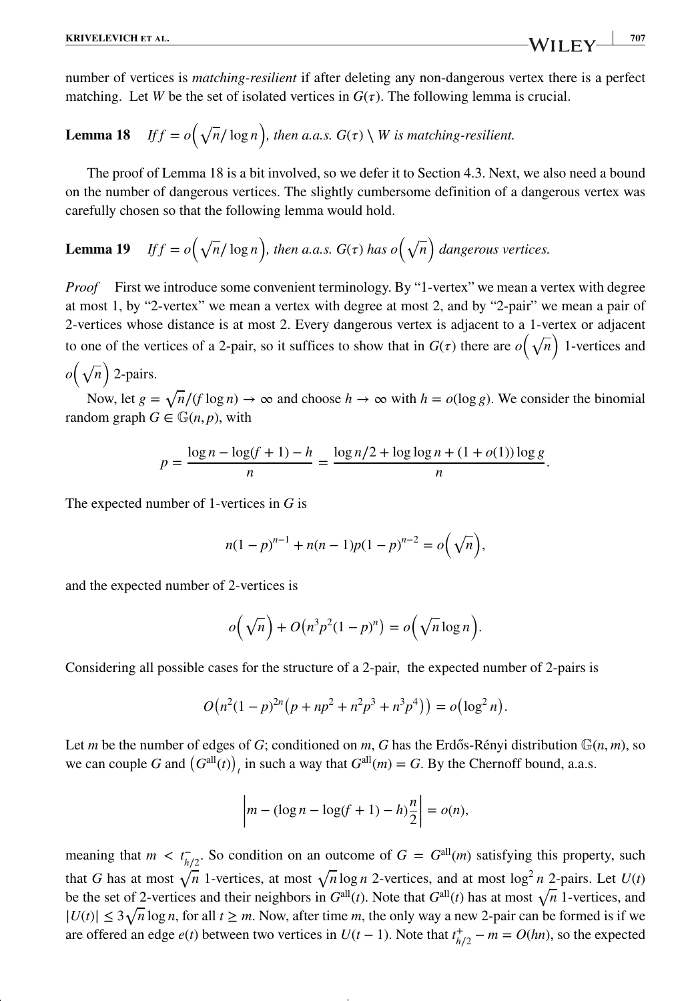number of vertices is *matching-resilient* if after deleting any non-dangerous vertex there is a perfect matching. Let *W* be the set of isolated vertices in  $G(\tau)$ . The following lemma is crucial.

**Lemma 18** If 
$$
f = o(\sqrt{n}/\log n)
$$
, then a.a.s.  $G(\tau) \setminus W$  is matching-resilient.

The proof of Lemma 18 is a bit involved, so we defer it to Section 4.3. Next, we also need a bound on the number of dangerous vertices. The slightly cumbersome definition of a dangerous vertex was carefully chosen so that the following lemma would hold.

**Lemma 19** If 
$$
f = o(\sqrt{n}/\log n)
$$
, then a.a.s.  $G(\tau)$  has  $o(\sqrt{n})$  dangerous vertices.

*Proof* First we introduce some convenient terminology. By "1-vertex" we mean a vertex with degree at most 1, by "2-vertex" we mean a vertex with degree at most 2, and by "2-pair" we mean a pair of 2-vertices whose distance is at most 2. Every dangerous vertex is adjacent to a 1-vertex or adjacent to one of the vertices of a 2-pair, so it suffices to show that in  $G(\tau)$  there are  $o(\sqrt{n})$  1-vertices and

 $o(\sqrt{n})$  2-pairs.

Now, let  $g = \sqrt{n}/(f \log n) \to \infty$  and choose  $h \to \infty$  with  $h = o(\log g)$ . We consider the binomial random graph  $G \in \mathbb{G}(n, p)$ , with

$$
p = \frac{\log n - \log(f + 1) - h}{n} = \frac{\log n/2 + \log \log n + (1 + o(1)) \log g}{n}.
$$

The expected number of 1-vertices in *G* is

$$
n(1-p)^{n-1} + n(n-1)p(1-p)^{n-2} = o(\sqrt{n}),
$$

and the expected number of 2-vertices is

$$
o(\sqrt{n}) + O(n^3p^2(1-p)^n) = o(\sqrt{n}\log n).
$$

Considering all possible cases for the structure of a 2-pair, the expected number of 2-pairs is

$$
O(n^2(1-p)^{2n}(p+np^2+n^2p^3+n^3p^4)) = o(\log^2 n).
$$

Let *m* be the number of edges of *G*; conditioned on *m*, *G* has the Erdős-Rényi distribution  $\mathbb{G}(n,m)$ , so we can couple *G* and  $(G<sup>all</sup>(t))$ <sub>t</sub> in such a way that  $G<sup>all</sup>(m) = G$ . By the Chernoff bound, a.a.s.

$$
\left| m - (\log n - \log(f + 1) - h)\frac{n}{2} \right| = o(n),
$$

meaning that  $m < t_{h/2}^-$ . So condition on an outcome of  $G = G^{\text{all}}(m)$  satisfying this property, such that *G* has at most  $\sqrt{n}$  1-vertices, at most  $\sqrt{n} \log n$  2-vertices, and at most  $\log^2 n$  2-pairs. Let  $U(t)$ be the set of 2-vertices and their neighbors in  $G^{\text{all}}(t)$ . Note that  $G^{\text{all}}(t)$  has at most  $\sqrt{n}$  1-vertices, and  $|U(t)|$  ≤ 3 $\sqrt{n} \log n$ , for all  $t \ge m$ . Now, after time *m*, the only way a new 2-pair can be formed is if we are offered an edge  $e(t)$  between two vertices in  $U(t-1)$ . Note that  $t_{h/2}^+ - m = O(hn)$ , so the expected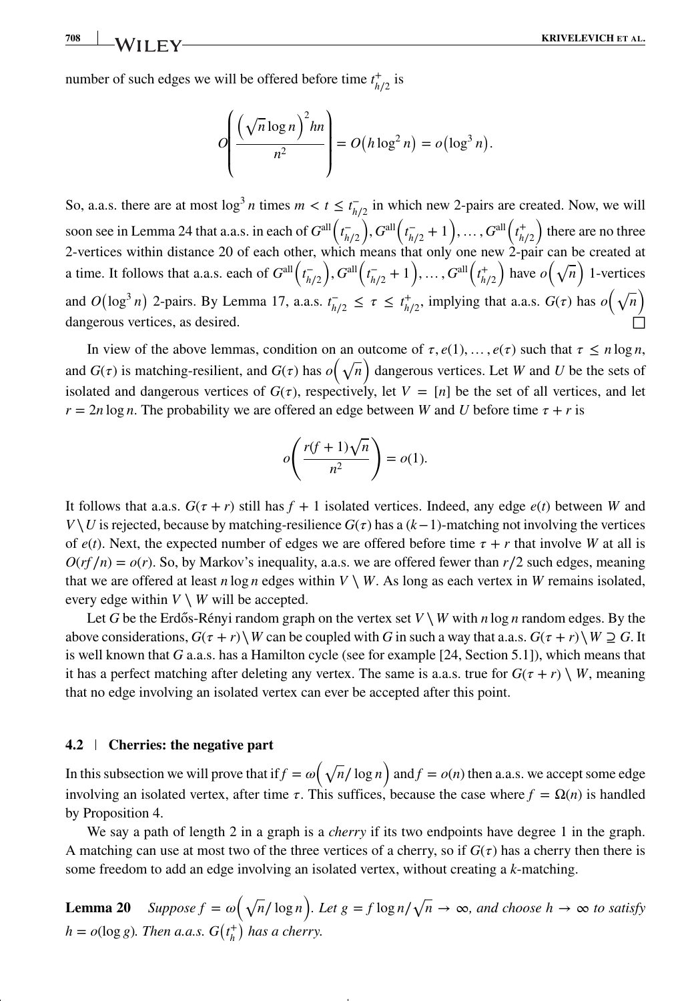number of such edges we will be offered before time  $t_{h/2}^+$  is

$$
O\left(\frac{\left(\sqrt{n}\log n\right)^2 h n}{n^2}\right) = O\left(h\log^2 n\right) = o\left(\log^3 n\right).
$$

So, a.a.s. there are at most  $\log^3 n$  times  $m < t \leq t_{h/2}^-$  in which new 2-pairs are created. Now, we will soon see in Lemma 24 that a.a.s. in each of  $G^{\text{all}}\left(t_{h/2}^-\right)$  $\int$ ,  $G^{\text{all}}(t_{h/2}^{-}+1), \ldots, G^{\text{all}}(t_{h/2}^{+})$ ) there are no three 2-vertices within distance 20 of each other, which means that only one new 2-pair can be created at a time. It follows that a.a.s. each of  $G^{\text{all}}\left(t_{h/2}^-\right)$  $\int$ ,  $G^{\text{all}}(t_{h/2}^{-}+1), \ldots, G^{\text{all}}(t_{h/2}^{+})$ ) have  $o(\sqrt{n})$  1-vertices and  $O(\log^3 n)$  2-pairs. By Lemma 17, a.a.s.  $t_{h/2}^- \leq \tau \leq t_{h/2}^+$ , implying that a.a.s.  $G(\tau)$  has  $o(\sqrt{n})$ dangerous vertices, as desired.

In view of the above lemmas, condition on an outcome of  $\tau$ ,  $e(1)$ , ...,  $e(\tau)$  such that  $\tau \le n \log n$ , and  $G(\tau)$  is matching-resilient, and  $G(\tau)$  has  $o(\sqrt{n})$  dangerous vertices. Let *W* and *U* be the sets of isolated and dangerous vertices of  $G(\tau)$ , respectively, let  $V = [n]$  be the set of all vertices, and let  $r = 2n \log n$ . The probability we are offered an edge between *W* and *U* before time  $\tau + r$  is

$$
o\left(\frac{r(f+1)\sqrt{n}}{n^2}\right) = o(1).
$$

It follows that a.a.s.  $G(\tau + r)$  still has  $f + 1$  isolated vertices. Indeed, any edge  $e(t)$  between *W* and *V*  $\setminus$  *U* is rejected, because by matching-resilience *G*( $\tau$ ) has a (*k*−1)-matching not involving the vertices of  $e(t)$ . Next, the expected number of edges we are offered before time  $\tau + r$  that involve *W* at all is  $O(r f/n) = o(r)$ . So, by Markov's inequality, a.a.s. we are offered fewer than  $r/2$  such edges, meaning that we are offered at least *n* log *n* edges within  $V \setminus W$ . As long as each vertex in *W* remains isolated, every edge within  $V \setminus W$  will be accepted.

Let *G* be the Erdős-Rényi random graph on the vertex set  $V \setminus W$  with *n* log *n* random edges. By the above considerations,  $G(\tau + r) \ W$  can be coupled with *G* in such a way that a.a.s.  $G(\tau + r) \ W \supseteq G$ . It is well known that *G* a.a.s. has a Hamilton cycle (see for example [24, Section 5.1]), which means that it has a perfect matching after deleting any vertex. The same is a.a.s. true for  $G(\tau + r) \setminus W$ , meaning that no edge involving an isolated vertex can ever be accepted after this point.

#### **4.2 Cherries: the negative part**

In this subsection we will prove that if  $f = \omega(\sqrt{n}/\log n)$  and  $f = o(n)$  then a.a.s. we accept some edge involving an isolated vertex, after time  $\tau$ . This suffices, because the case where  $f = \Omega(n)$  is handled by Proposition 4.

We say a path of length 2 in a graph is a *cherry* if its two endpoints have degree 1 in the graph. A matching can use at most two of the three vertices of a cherry, so if  $G(\tau)$  has a cherry then there is some freedom to add an edge involving an isolated vertex, without creating a *k*-matching.

**Lemma 20** *Suppose*  $f = \omega(\sqrt{n}/\log n)$ *. Let g* = *f* log  $n/\sqrt{n} \rightarrow \infty$ *, and choose h*  $\rightarrow \infty$  to satisfy  $h = o(\log g)$ . Then a.a.s.  $G(t_h^+)$  has a cherry.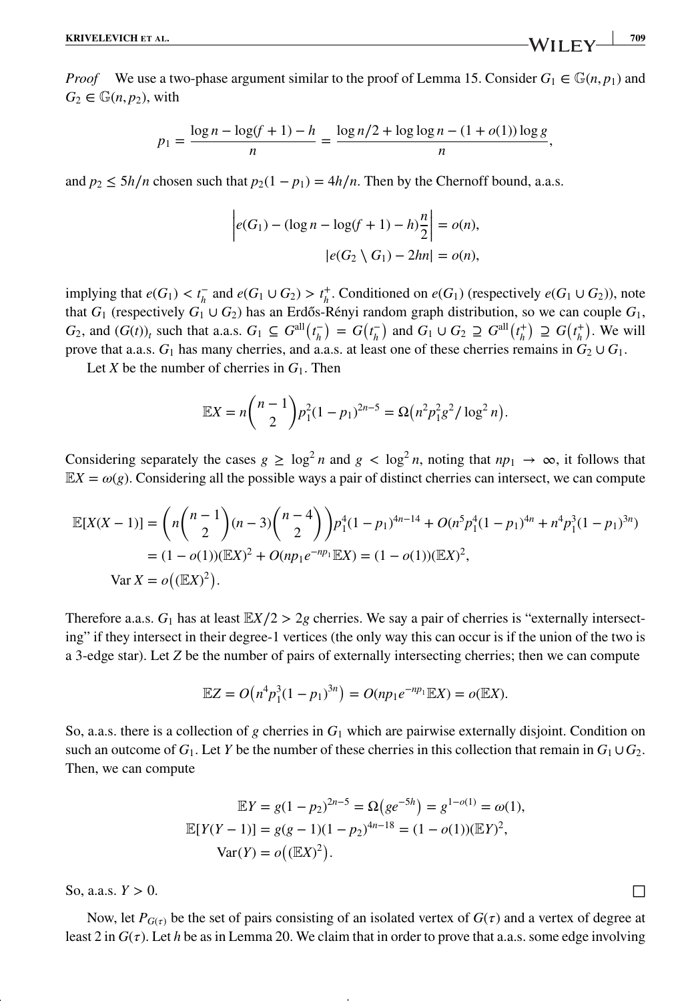*Proof* We use a two-phase argument similar to the proof of Lemma 15. Consider  $G_1 \in \mathbb{G}(n, p_1)$  and  $G_2 \in \mathbb{G}(n, p_2)$ , with

$$
p_1 = \frac{\log n - \log(f+1) - h}{n} = \frac{\log n/2 + \log \log n - (1 + o(1)) \log g}{n},
$$

and  $p_2 \le 5h/n$  chosen such that  $p_2(1 - p_1) = 4h/n$ . Then by the Chernoff bound, a.a.s.

$$
\left| e(G_1) - (\log n - \log(f + 1) - h)\frac{n}{2} \right| = o(n),
$$

$$
\left| e(G_2 \setminus G_1) - 2hn \right| = o(n),
$$

implying that  $e(G_1) < t_h^-$  and  $e(G_1 \cup G_2) > t_h^+$ . Conditioned on  $e(G_1)$  (respectively  $e(G_1 \cup G_2)$ ), note that  $G_1$  (respectively  $G_1 \cup G_2$ ) has an Erdős-Rényi random graph distribution, so we can couple  $G_1$ ,  $G_2$ , and  $(G(t))_t$  such that a.a.s.  $G_1 \subseteq G^{\text{all}}(t_h^-) = G(t_h^-)$  and  $G_1 \cup G_2 \supseteq G^{\text{all}}(t_h^+) \supseteq G(t_h^+)$ . We will prove that a.a.s.  $G_1$  has many cherries, and a.a.s. at least one of these cherries remains in  $G_2 \cup G_1$ .

Let *X* be the number of cherries in  $G_1$ . Then

$$
\mathbb{E}X = n\binom{n-1}{2}p_1^2(1-p_1)^{2n-5} = \Omega\left(n^2p_1^2g^2/\log^2 n\right).
$$

Considering separately the cases  $g \ge \log^2 n$  and  $g < \log^2 n$ , noting that  $np_1 \to \infty$ , it follows that  $\mathbb{E}X = \omega(g)$ . Considering all the possible ways a pair of distinct cherries can intersect, we can compute

$$
\mathbb{E}[X(X-1)] = \left(n\binom{n-1}{2}(n-3)\binom{n-4}{2}p_1^4(1-p_1)^{4n-14} + O(n^5p_1^4(1-p_1)^{4n} + n^4p_1^3(1-p_1)^{3n})\right)
$$
  
=  $(1-o(1))(\mathbb{E}X)^2 + O(np_1e^{-np_1}\mathbb{E}X) = (1-o(1))(\mathbb{E}X)^2,$   
Var  $X = o((\mathbb{E}X)^2).$ 

Therefore a.a.s.  $G_1$  has at least  $\mathbb{E}X/2 > 2g$  cherries. We say a pair of cherries is "externally intersecting" if they intersect in their degree-1 vertices (the only way this can occur is if the union of the two is a 3-edge star). Let *Z* be the number of pairs of externally intersecting cherries; then we can compute

$$
\mathbb{E}Z = O(n^4p_1^3(1-p_1)^{3n}) = O(np_1e^{-np_1}\mathbb{E}X) = o(\mathbb{E}X).
$$

So, a.a.s. there is a collection of *g* cherries in  $G_1$  which are pairwise externally disjoint. Condition on such an outcome of  $G_1$ . Let *Y* be the number of these cherries in this collection that remain in  $G_1 \cup G_2$ . Then, we can compute

$$
\mathbb{E}Y = g(1 - p_2)^{2n-5} = \Omega(ge^{-5h}) = g^{1 - o(1)} = \omega(1),
$$
  

$$
\mathbb{E}[Y(Y - 1)] = g(g - 1)(1 - p_2)^{4n - 18} = (1 - o(1))(\mathbb{E}Y)^2,
$$
  

$$
\text{Var}(Y) = o((\mathbb{E}X)^2).
$$

So, a.a.s.  $Y > 0$ .

Now, let  $P_{G(\tau)}$  be the set of pairs consisting of an isolated vertex of  $G(\tau)$  and a vertex of degree at least 2 in  $G(\tau)$ . Let *h* be as in Lemma 20. We claim that in order to prove that a.a.s. some edge involving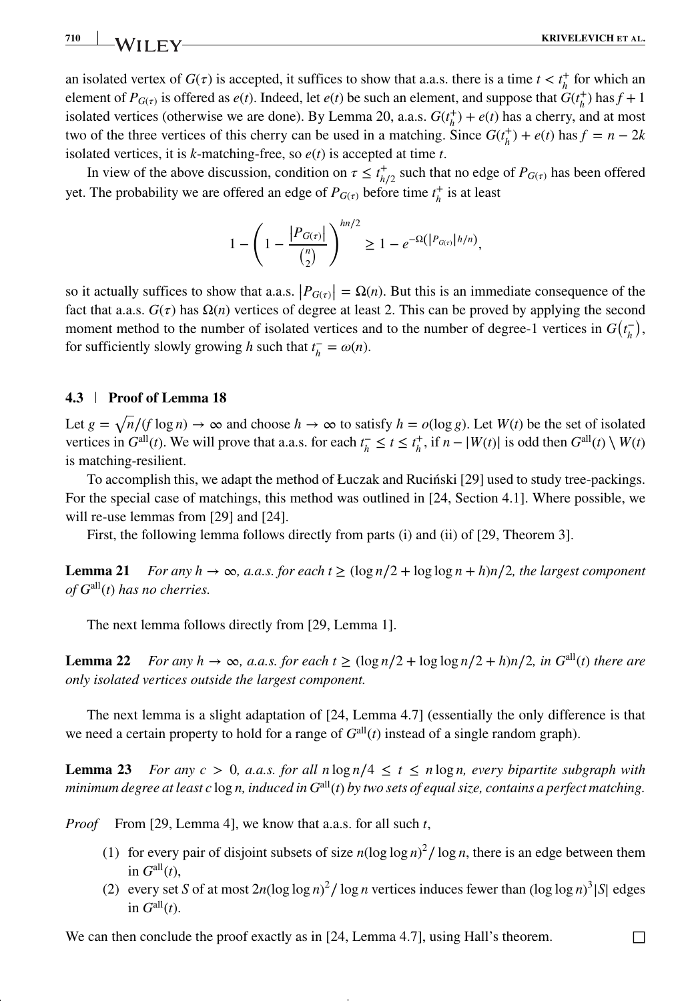an isolated vertex of  $G(\tau)$  is accepted, it suffices to show that a.a.s. there is a time  $t < t_h^+$  for which an element of  $P_{G(\tau)}$  is offered as  $e(t)$ . Indeed, let  $e(t)$  be such an element, and suppose that  $G(t<sub>h</sub><sup>+</sup>)$  has  $f + 1$ isolated vertices (otherwise we are done). By Lemma 20, a.a.s.  $G(t<sub>h</sub><sup>+</sup>) + e(t)$  has a cherry, and at most two of the three vertices of this cherry can be used in a matching. Since  $G(t<sub>h</sub><sup>+</sup>) + e(t)$  has  $f = n - 2k$ isolated vertices, it is *k*-matching-free, so *e*(*t*) is accepted at time *t*.

In view of the above discussion, condition on  $\tau \leq t_{h/2}^+$  such that no edge of  $P_{G(\tau)}$  has been offered yet. The probability we are offered an edge of  $P_{G(\tau)}$  before time  $t_h^+$  is at least

$$
1 - \left(1 - \frac{|P_{G(\tau)}|}{\binom{n}{2}}\right)^{hn/2} \ge 1 - e^{-\Omega(|P_{G(\tau)}|h/n)},
$$

so it actually suffices to show that a.a.s.  $|P_{G(\tau)}| = \Omega(n)$ . But this is an immediate consequence of the fact that a a s.  $G(\tau)$  has  $\Omega(n)$  vertices of degree at least 2. This can be proved by applying the second fact that a.a.s.  $G(\tau)$  has  $\Omega(n)$  vertices of degree at least 2. This can be proved by applying the second moment method to the number of isolated vertices and to the number of degree-1 vertices in  $G(t<sub>h</sub><sup>-</sup>)$ , for sufficiently slowly growing *h* such that  $t_h^- = \omega(n)$ .

### **4.3 Proof of Lemma 18**

Let  $g = \sqrt{n/(f \log n)} \to \infty$  and choose  $h \to \infty$  to satisfy  $h = o(\log g)$ . Let  $W(t)$  be the set of isolated vertices in  $G^{\text{all}}(t)$ . We will prove that a.a.s. for each  $t_h^- \le t \le t_h^+$ , if  $n - |W(t)|$  is odd then  $G^{\text{all}}(t) \setminus W(t)$ is matching-resilient.

To accomplish this, we adapt the method of Łuczak and Rucinski [29] used to study tree-packings. For the special case of matchings, this method was outlined in [24, Section 4.1]. Where possible, we will re-use lemmas from [29] and [24].

First, the following lemma follows directly from parts (i) and (ii) of [29, Theorem 3].

**Lemma 21** *For any h*  $\rightarrow \infty$ *, a.a.s. for each t*  $\geq (\log n/2 + \log \log n + h)n/2$ *, the largest component of G*all(*t*) *has no cherries.*

The next lemma follows directly from [29, Lemma 1].

**Lemma 22** *For any h* → ∞*, a.a.s. for each t* ≥ (log *n*/2 + log log *n*/2 + *h*)*n*/2*, in*  $G^{\text{all}}(t)$  *there are only isolated vertices outside the largest component.*

The next lemma is a slight adaptation of [24, Lemma 4.7] (essentially the only difference is that we need a certain property to hold for a range of  $G<sup>all</sup>(t)$  instead of a single random graph).

**Lemma 23** *For any c* > 0*, a.a.s. for all n*  $\log n/4 \le t \le n \log n$ *, every bipartite subgraph with minimum degree at least c* log *n, induced in G*all(*t*) *by two sets of equal size, contains a perfect matching.*

*Proof* From [29, Lemma 4], we know that a.a.s. for all such *t*,

- (1) for every pair of disjoint subsets of size  $n(\log \log n)^2 / \log n$ , there is an edge between them in  $G^{\text{all}}(t)$ .
- (2) every set *S* of at most  $2n(\log \log n)^2 / \log n$  vertices induces fewer than  $(\log \log n)^3 |S|$  edges in  $G^{\text{all}}(t)$ .

We can then conclude the proof exactly as in [24, Lemma 4.7], using Hall's theorem.  $\Box$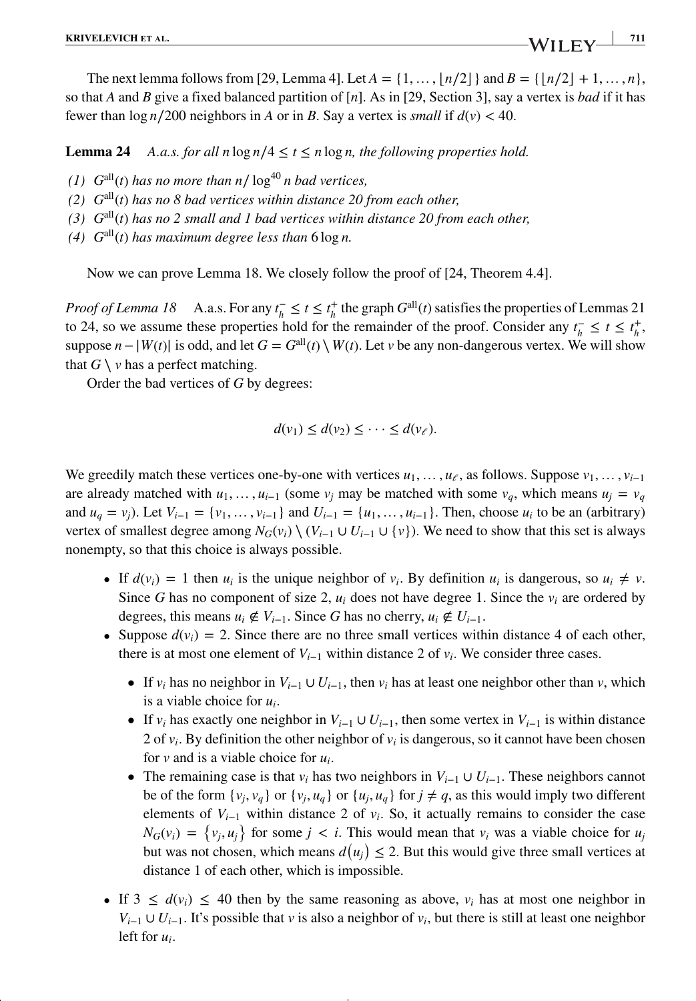The next lemma follows from [29, Lemma 4]. Let  $A = \{1, ..., \lfloor n/2 \rfloor\}$  and  $B = \{\lfloor n/2 \rfloor + 1, ..., n\}$ , so that *A* and *B* give a fixed balanced partition of [*n*]. As in [29, Section 3], say a vertex is *bad* if it has fewer than  $\log n/200$  neighbors in *A* or in *B*. Say a vertex is *small* if  $d(v) < 40$ .

**Lemma 24** *A.a.s. for all n* log  $n/4 \le t \le n \log n$ , the following properties hold.

- *(1)*  $G^{\text{all}}(t)$  *has no more than n*/ $\log^{40} n$  *bad vertices,*
- *(2) G*all(*t*) *has no 8 bad vertices within distance 20 from each other,*
- *(3) G*all(*t*) *has no 2 small and 1 bad vertices within distance 20 from each other,*
- *(4)*  $G<sup>all</sup>(t)$  *has maximum degree less than*  $6 \log n$ .

Now we can prove Lemma 18. We closely follow the proof of [24, Theorem 4.4].

*Proof of Lemma 18* A.a.s. For any  $t_h^- \le t \le t_h^+$  the graph  $G^{\text{all}}(t)$  satisfies the properties of Lemmas 21 to 24, so we assume these properties hold for the remainder of the proof. Consider any  $t_h^- \leq t \leq t_h^+$ , suppose  $n - |W(t)|$  is odd, and let  $G = G<sup>all</sup>(t) \setminus W(t)$ . Let *v* be any non-dangerous vertex. We will show that  $G \setminus v$  has a perfect matching.

Order the bad vertices of *G* by degrees:

$$
d(v_1) \leq d(v_2) \leq \cdots \leq d(v_{\ell}).
$$

We greedily match these vertices one-by-one with vertices  $u_1, \ldots, u_{\ell}$ , as follows. Suppose  $v_1, \ldots, v_{i-1}$ are already matched with  $u_1, \ldots, u_{i-1}$  (some  $v_i$  may be matched with some  $v_q$ , which means  $u_i = v_q$ and  $u_q = v_j$ ). Let  $V_{i-1} = \{v_1, \ldots, v_{i-1}\}\$  and  $U_{i-1} = \{u_1, \ldots, u_{i-1}\}\$ . Then, choose  $u_i$  to be an (arbitrary) vertex of smallest degree among  $N_G(v_i) \setminus (V_{i-1} \cup U_{i-1} \cup \{v\})$ . We need to show that this set is always nonempty, so that this choice is always possible.

- If  $d(v_i) = 1$  then  $u_i$  is the unique neighbor of  $v_i$ . By definition  $u_i$  is dangerous, so  $u_i \neq v$ . Since *G* has no component of size 2, *ui* does not have degree 1. Since the *vi* are ordered by degrees, this means  $u_i \notin V_{i-1}$ . Since G has no cherry,  $u_i \notin U_{i-1}$ .
- Suppose  $d(v_i) = 2$ . Since there are no three small vertices within distance 4 of each other, there is at most one element of  $V_{i-1}$  within distance 2 of  $v_i$ . We consider three cases.
	- If  $v_i$  has no neighbor in  $V_{i-1} \cup U_{i-1}$ , then  $v_i$  has at least one neighbor other than  $v_i$ , which is a viable choice for *ui*.
	- If  $v_i$  has exactly one neighbor in  $V_{i-1} \cup U_{i-1}$ , then some vertex in  $V_{i-1}$  is within distance 2 of  $v_i$ . By definition the other neighbor of  $v_i$  is dangerous, so it cannot have been chosen for *v* and is a viable choice for *ui*.
	- The remaining case is that  $v_i$  has two neighbors in  $V_{i-1} \cup U_{i-1}$ . These neighbors cannot be of the form  $\{v_i, v_q\}$  or  $\{v_i, u_q\}$  or  $\{u_i, u_q\}$  for  $j \neq q$ , as this would imply two different elements of *Vi*−<sup>1</sup> within distance 2 of *vi*. So, it actually remains to consider the case  $N_G(v_i) = \{v_j, u_j\}$  for some  $j < i$ . This would mean that  $v_i$  was a viable choice for  $u_j$ but was not chosen, which means  $d(u_j) \leq 2$ . But this would give three small vertices at distance 1 of each other, which is impossible.
- If  $3 \leq d(v_i) \leq 40$  then by the same reasoning as above,  $v_i$  has at most one neighbor in *V<sub>i−1</sub>* ∪ *U<sub>i−1</sub>*. It's possible that *v* is also a neighbor of  $v_i$ , but there is still at least one neighbor left for *ui*.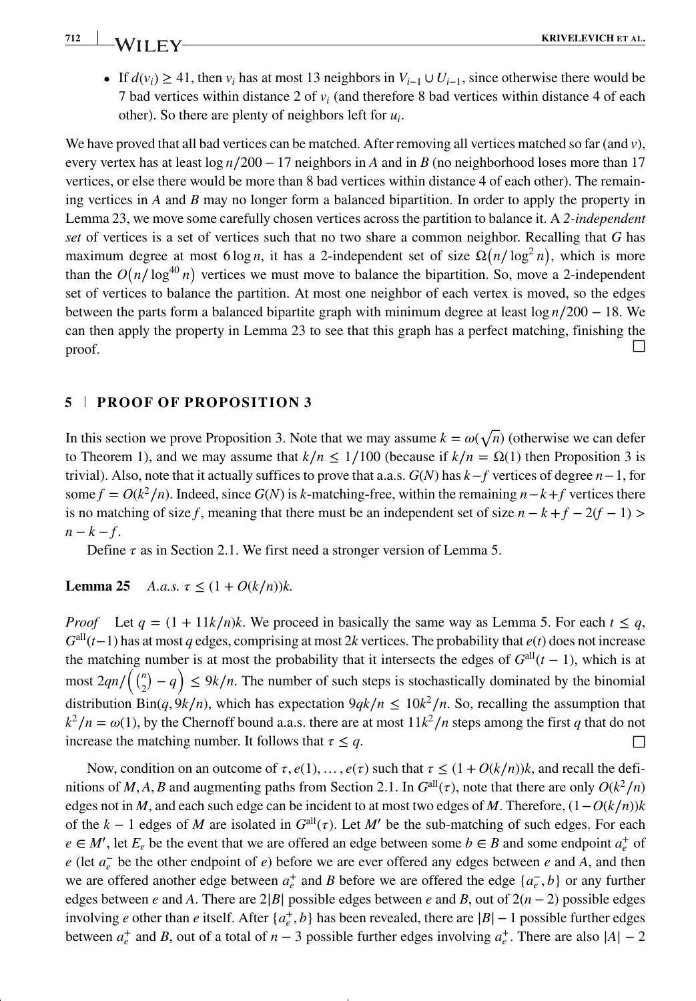# *712* **<b>KRIVELEVICH** ET AL.

• If  $d(v_i) \geq 41$ , then  $v_i$  has at most 13 neighbors in  $V_{i-1} \cup U_{i-1}$ , since otherwise there would be 7 bad vertices within distance 2 of *vi* (and therefore 8 bad vertices within distance 4 of each other). So there are plenty of neighbors left for *ui*.

We have proved that all bad vertices can be matched. After removing all vertices matched so far (and *v*), every vertex has at least log *n*∕200 − 17 neighbors in *A* and in *B* (no neighborhood loses more than 17 vertices, or else there would be more than 8 bad vertices within distance 4 of each other). The remaining vertices in *A* and *B* may no longer form a balanced bipartition. In order to apply the property in Lemma 23, we move some carefully chosen vertices across the partition to balance it. A *2-independent set* of vertices is a set of vertices such that no two share a common neighbor. Recalling that *G* has maximum degree at most 6 log *n*, it has a 2-independent set of size  $\Omega(n/\log^2 n)$ , which is more than the  $O(n/\log^{40} n)$  vertices we must move to balance the bipartition. So, move a 2-independent set of vertices to balance the partition. At most one neighbor of each vertex is moved, so the edges between the parts form a balanced bipartite graph with minimum degree at least log *n*∕200 − 18. We can then apply the property in Lemma 23 to see that this graph has a perfect matching, finishing the proof.  $\Box$ 

#### **5 PROOF OF PROPOSITION 3**

In this section we prove Proposition 3. Note that we may assume  $k = \omega(\sqrt{n})$  (otherwise we can defer to Theorem 1), and we may assume that  $k/n \le 1/100$  (because if  $k/n = \Omega(1)$  then Proposition 3 is trivial). Also, note that it actually suffices to prove that a.a.s. *G*(*N*) has *k*−*f* vertices of degree *n*−1, for some  $f = O(k^2/n)$ . Indeed, since  $G(N)$  is *k*-matching-free, within the remaining  $n - k + f$  vertices there is no matching of size *f*, meaning that there must be an independent set of size  $n - k + f - 2(f - 1)$  >  $n-k-f$ .

Define  $\tau$  as in Section 2.1. We first need a stronger version of Lemma 5.

#### **Lemma 25** *A.a.s.*  $\tau \leq (1 + O(k/n))k$ .

*Proof* Let  $q = (1 + 11k/n)k$ . We proceed in basically the same way as Lemma 5. For each  $t \leq q$ , *G*all(*t*−1) has at most *q* edges, comprising at most 2*k* vertices. The probability that *e*(*t*) does not increase the matching number is at most the probability that it intersects the edges of  $G^{\text{all}}(t-1)$ , which is at most  $2qn/\binom{n}{2}-q \le 9k/n$ . The number of such steps is stochastically dominated by the binomial distribution  $\text{Bin}(q, 9k/n)$ , which has expectation  $9qk/n \leq 10k^2/n$ . So, recalling the assumption that  $k^2/n = \omega(1)$ , by the Chernoff bound a.a.s. there are at most  $11k^2/n$  steps among the first *q* that do not increase the matching number. It follows that  $\tau \leq q$ .

Now, condition on an outcome of  $\tau$ ,  $e(1)$ , ...,  $e(\tau)$  such that  $\tau \leq (1 + O(k/n))k$ , and recall the definitions of *M*, *A*, *B* and augmenting paths from Section 2.1. In  $G^{\text{all}}(\tau)$ , note that there are only  $O(k^2/n)$ edges not in *M*, and each such edge can be incident to at most two edges of *M*. Therefore,  $(1 - O(k/n))k$ of the  $k - 1$  edges of *M* are isolated in  $G^{\text{all}}(\tau)$ . Let *M'* be the sub-matching of such edges. For each  $e \in M'$ , let  $E_e$  be the event that we are offered an edge between some  $b \in B$  and some endpoint  $a_e^+$  of *e* (let  $a_e$ <sup>−</sup> be the other endpoint of *e*) before we are ever offered any edges between *e* and *A*, and then we are offered another edge between  $a_e^+$  and *B* before we are offered the edge  $\{a_e^-, b\}$  or any further edges between *e* and *A*. There are 2|*B*| possible edges between *e* and *B*, out of  $2(n - 2)$  possible edges involving *e* other than *e* itself. After {*a*<sup> $_t$ </sup>, *b*} has been revealed, there are |*B*|−1 possible further edges between  $a_e^+$  and *B*, out of a total of *n* − 3 possible further edges involving  $a_e^+$ . There are also  $|A| - 2$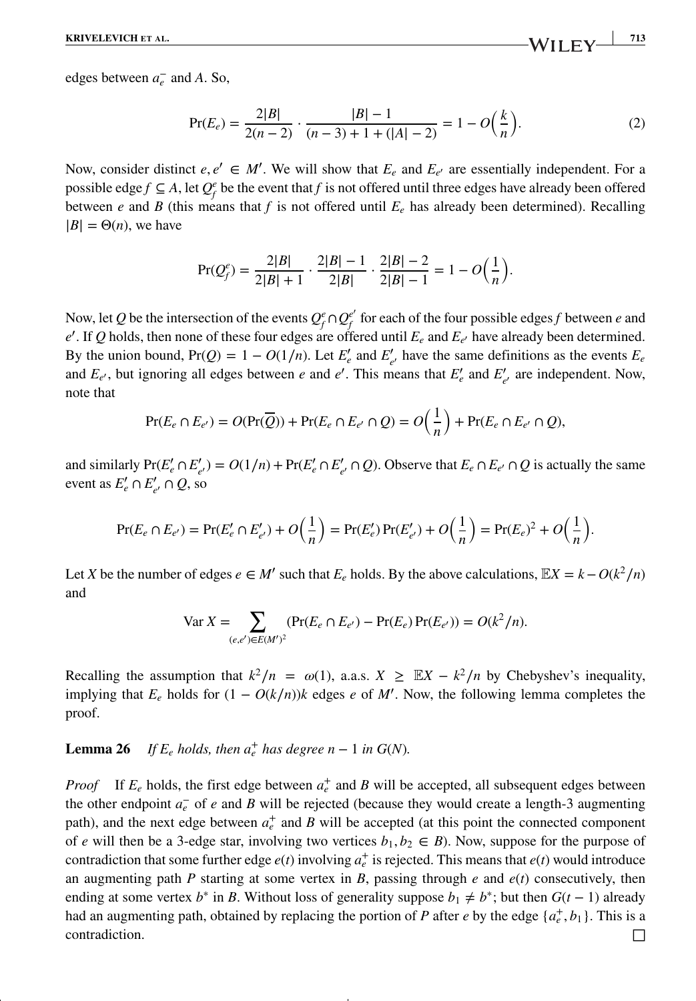edges between  $a_e^-$  and *A*. So,

$$
\Pr(E_e) = \frac{2|B|}{2(n-2)} \cdot \frac{|B| - 1}{(n-3) + 1 + (|A| - 2)} = 1 - O\left(\frac{k}{n}\right). \tag{2}
$$

Now, consider distinct  $e, e' \in M'$ . We will show that  $E_e$  and  $E_{e'}$  are essentially independent. For a possible edge *f*  $\subseteq$  *A*, let  $Q_f^e$  be the event that *f* is not offered until three edges have already been offered between *e* and *B* (this means that *f* is not offered until  $E_e$  has already been determined). Recalling  $|B| = \Theta(n)$ , we have

$$
\Pr(Q_f^e) = \frac{2|B|}{2|B|+1} \cdot \frac{2|B|-1}{2|B|} \cdot \frac{2|B|-2}{2|B|-1} = 1 - O\left(\frac{1}{n}\right).
$$

Now, let *Q* be the intersection of the events  $Q_f^e \cap Q_f^{e'}$  for each of the four possible edges *f* between *e* and  $e'$ . If *Q* holds, then none of these four edges are offered until  $E_e$  and  $E_{e'}$  have already been determined. By the union bound,  $Pr(Q) = 1 - O(1/n)$ . Let  $E'_e$  and  $E'_{e'}$  have the same definitions as the events  $E_e$ and  $E_{e'}$ , but ignoring all edges between *e* and *e'*. This means that  $E'_{e}$  and  $E'_{e'}$  are independent. Now, note that

$$
\Pr(E_e \cap E_{e'}) = O(\Pr(\overline{Q})) + \Pr(E_e \cap E_{e'} \cap Q) = O\left(\frac{1}{n}\right) + \Pr(E_e \cap E_{e'} \cap Q),
$$

and similarly  $Pr(E'_{e} \cap E'_{e'}) = O(1/n) + Pr(E'_{e} \cap E'_{e'} \cap Q)$ . Observe that  $E_{e} \cap E_{e'} \cap Q$  is actually the same event as  $E'_e \cap E'_{e'} \cap Q$ , so

$$
\Pr(E_e \cap E_{e'}) = \Pr(E'_e \cap E'_{e'}) + O\Big(\frac{1}{n}\Big) = \Pr(E'_e) \Pr(E'_{e'}) + O\Big(\frac{1}{n}\Big) = \Pr(E_e)^2 + O\Big(\frac{1}{n}\Big).
$$

Let *X* be the number of edges  $e \in M'$  such that  $E_e$  holds. By the above calculations,  $\mathbb{E}X = k - O(k^2/n)$ and

$$
\text{Var}\,X = \sum_{(e,e') \in E(M')^2} (\Pr(E_e \cap E_{e'}) - \Pr(E_e) \Pr(E_{e'})) = O(k^2/n).
$$

Recalling the assumption that  $k^2/n = \omega(1)$ , a.a.s.  $X \geq \mathbb{E}X - k^2/n$  by Chebyshev's inequality, implying that  $E_e$  holds for  $(1 - O(k/n))k$  edges *e* of *M'*. Now, the following lemma completes the proof.

## **Lemma 26** *If*  $E_e$  *holds, then*  $a_e^+$  *has degree*  $n - 1$  *in*  $G(N)$ *.*

*Proof* If  $E_e$  holds, the first edge between  $a_e^+$  and *B* will be accepted, all subsequent edges between the other endpoint *a*<sup>−</sup> *<sup>e</sup>* of *e* and *B* will be rejected (because they would create a length-3 augmenting path), and the next edge between  $a_e^+$  and *B* will be accepted (at this point the connected component of *e* will then be a 3-edge star, involving two vertices  $b_1, b_2 \in B$ ). Now, suppose for the purpose of contradiction that some further edge  $e(t)$  involving  $a_e^+$  is rejected. This means that  $e(t)$  would introduce an augmenting path *P* starting at some vertex in *B*, passing through *e* and  $e(t)$  consecutively, then ending at some vertex *b*<sup>∗</sup> in *B*. Without loss of generality suppose  $b_1 \neq b^*$ ; but then  $G(t-1)$  already had an augmenting path, obtained by replacing the portion of *P* after *e* by the edge  $\{a_e^+, b_1\}$ . This is a contradiction.  $\Box$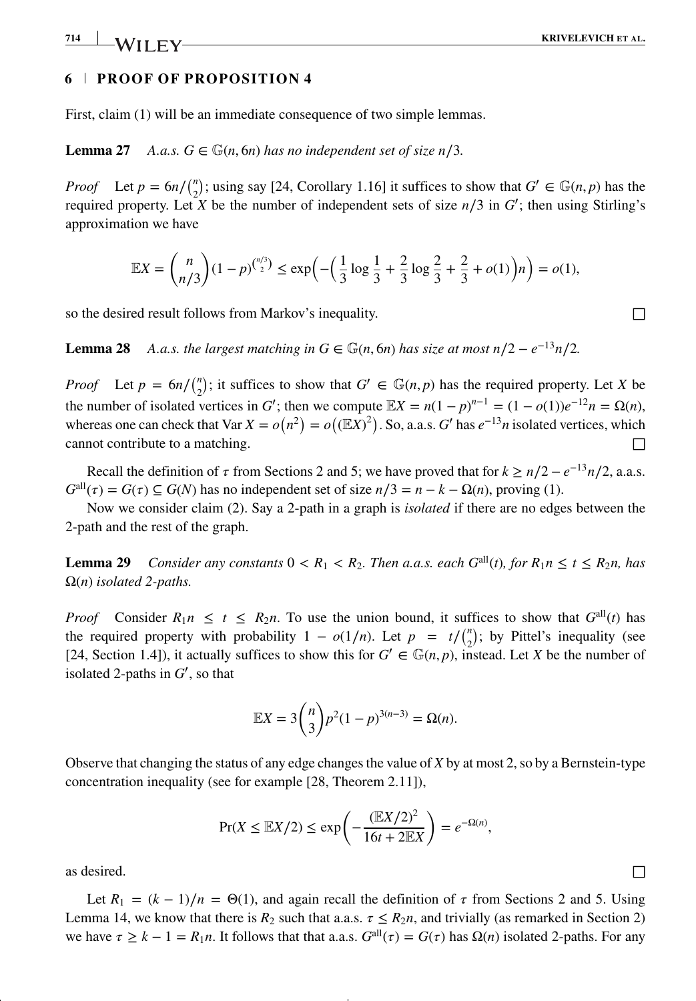## **6 PROOF OF PROPOSITION 4**

First, claim (1) will be an immediate consequence of two simple lemmas.

**Lemma 27** *A.a.s.*  $G \in \mathbb{G}(n, 6n)$  *has no independent set of size n*/3*.* 

*Proof* Let  $p = 6n / {n \choose 2}$ ; using say [24, Corollary 1.16] it suffices to show that  $G' \in \mathbb{G}(n, p)$  has the required property. Let *X* be the number of independent sets of size  $n/3$  in *G*<sup>'</sup>; then using Stirling's approximation we have

$$
\mathbb{E}X = {n \choose n/3} (1-p)^{{n/3 \choose 2}} \le \exp\left(-\left(\frac{1}{3}\log\frac{1}{3}+\frac{2}{3}\log\frac{2}{3}+\frac{2}{3}+o(1)\right)n\right) = o(1),
$$

so the desired result follows from Markov's inequality.  $\Box$ 

**Lemma 28** *A.a.s. the largest matching in*  $G \in \mathbb{G}(n, 6n)$  *has size at most n/2 –*  $e^{-13}n/2$ *.* 

*Proof* Let  $p = 6n / \binom{n}{2}$ ; it suffices to show that  $G' \in \mathbb{G}(n, p)$  has the required property. Let *X* be the number of isolated vertices in *G*<sup> $\prime$ </sup>; then we compute  $\mathbb{E}X = n(1-p)^{n-1} = (1-o(1))e^{-12}n = \Omega(n)$ , whereas one can check that Var  $X = o(n^2) = o((\mathbb{E}X)^2)$ . So, a.a.s. *G*' has  $e^{-13}n$  isolated vertices, which cannot contribute to a matching.

Recall the definition of  $\tau$  from Sections 2 and 5; we have proved that for  $k \ge n/2 - e^{-13}n/2$ , a.a.s.  $G^{\text{all}}(\tau) = G(\tau) \subseteq G(N)$  has no independent set of size  $n/3 = n - k - \Omega(n)$ , proving (1).

Now we consider claim (2). Say a 2-path in a graph is *isolated* if there are no edges between the 2-path and the rest of the graph.

**Lemma 29** *Consider any constants*  $0 < R_1 < R_2$ *. Then a.a.s. each G*<sup>all</sup>(*t*)*, for*  $R_1 n \le t \le R_2 n$ *, has* Ω(*n*) *isolated 2-paths.*

*Proof* Consider  $R_1 n \le t \le R_2 n$ . To use the union bound, it suffices to show that  $G^{\text{all}}(t)$  has the required property with probability  $1 - o(1/n)$ . Let  $p = t / {n \choose 2}$ ; by Pittel's inequality (see [24, Section 1.4]), it actually suffices to show this for  $G' \in \mathbb{G}(n, p)$ , instead. Let *X* be the number of isolated 2-paths in *G*′ , so that

$$
\mathbb{E}X = 3\binom{n}{3}p^2(1-p)^{3(n-3)} = \Omega(n).
$$

Observe that changing the status of any edge changes the value of *X* by at most 2, so by a Bernstein-type concentration inequality (see for example [28, Theorem 2.11]),

$$
\Pr(X \le \mathbb{E}X/2) \le \exp\left(-\frac{(\mathbb{E}X/2)^2}{16t + 2\mathbb{E}X}\right) = e^{-\Omega(n)},
$$

as desired.  $\Box$ 

Let  $R_1 = (k-1)/n = \Theta(1)$ , and again recall the definition of  $\tau$  from Sections 2 and 5. Using Lemma 14, we know that there is  $R_2$  such that a.a.s.  $\tau \leq R_2 n$ , and trivially (as remarked in Section 2) we have  $\tau \geq k - 1 = R_1 n$ . It follows that that a.a.s.  $G^{\text{all}}(\tau) = G(\tau)$  has  $\Omega(n)$  isolated 2-paths. For any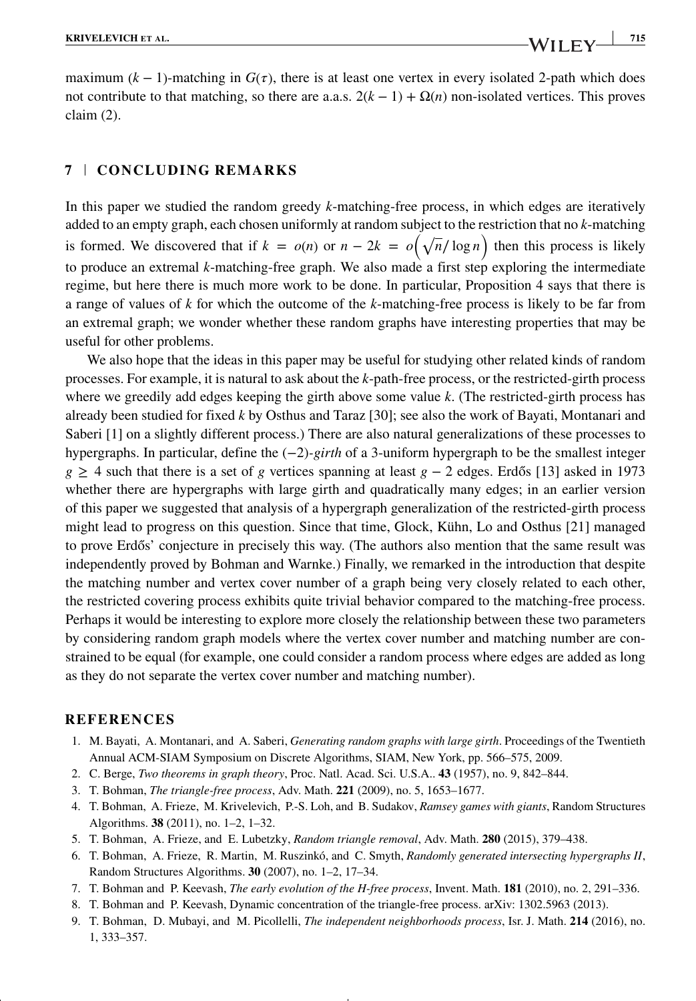maximum  $(k - 1)$ -matching in  $G(\tau)$ , there is at least one vertex in every isolated 2-path which does not contribute to that matching, so there are a.a.s.  $2(k - 1) + \Omega(n)$  non-isolated vertices. This proves claim (2).

#### **7 CONCLUDING REMARKS**

In this paper we studied the random greedy *k*-matching-free process, in which edges are iteratively added to an empty graph, each chosen uniformly at random subject to the restriction that no *k*-matching is formed. We discovered that if  $k = o(n)$  or  $n - 2k = o(\sqrt{n}/\log n)$  then this process is likely to produce an extremal *k*-matching-free graph. We also made a first step exploring the intermediate regime, but here there is much more work to be done. In particular, Proposition 4 says that there is a range of values of *k* for which the outcome of the *k*-matching-free process is likely to be far from an extremal graph; we wonder whether these random graphs have interesting properties that may be useful for other problems.

We also hope that the ideas in this paper may be useful for studying other related kinds of random processes. For example, it is natural to ask about the *k*-path-free process, or the restricted-girth process where we greedily add edges keeping the girth above some value *k*. (The restricted-girth process has already been studied for fixed *k* by Osthus and Taraz [30]; see also the work of Bayati, Montanari and Saberi [1] on a slightly different process.) There are also natural generalizations of these processes to hypergraphs. In particular, define the (−2)*-girth* of a 3-uniform hypergraph to be the smallest integer *g* ≥ 4 such that there is a set of *g* vertices spanning at least *g* − 2 edges. Erdős [13] asked in 1973 whether there are hypergraphs with large girth and quadratically many edges; in an earlier version of this paper we suggested that analysis of a hypergraph generalization of the restricted-girth process might lead to progress on this question. Since that time, Glock, Kühn, Lo and Osthus [21] managed to prove Erdős' conjecture in precisely this way. (The authors also mention that the same result was independently proved by Bohman and Warnke.) Finally, we remarked in the introduction that despite the matching number and vertex cover number of a graph being very closely related to each other, the restricted covering process exhibits quite trivial behavior compared to the matching-free process. Perhaps it would be interesting to explore more closely the relationship between these two parameters by considering random graph models where the vertex cover number and matching number are constrained to be equal (for example, one could consider a random process where edges are added as long as they do not separate the vertex cover number and matching number).

#### **REFERENCES**

- 1. M. Bayati, A. Montanari, and A. Saberi, *Generating random graphs with large girth*. Proceedings of the Twentieth Annual ACM-SIAM Symposium on Discrete Algorithms, SIAM, New York, pp. 566–575, 2009.
- 2. C. Berge, *Two theorems in graph theory*, Proc. Natl. Acad. Sci. U.S.A.. **43** (1957), no. 9, 842–844.
- 3. T. Bohman, *The triangle-free process*, Adv. Math. **221** (2009), no. 5, 1653–1677.
- 4. T. Bohman, A. Frieze, M. Krivelevich, P.-S. Loh, and B. Sudakov, *Ramsey games with giants*, Random Structures Algorithms. **38** (2011), no. 1–2, 1–32.
- 5. T. Bohman, A. Frieze, and E. Lubetzky, *Random triangle removal*, Adv. Math. **280** (2015), 379–438.
- 6. T. Bohman, A. Frieze, R. Martin, M. Ruszinkó, and C. Smyth, *Randomly generated intersecting hypergraphs II*, Random Structures Algorithms. **30** (2007), no. 1–2, 17–34.
- 7. T. Bohman and P. Keevash, *The early evolution of the H-free process*, Invent. Math. **181** (2010), no. 2, 291–336.
- 8. T. Bohman and P. Keevash, Dynamic concentration of the triangle-free process. arXiv: 1302.5963 (2013).
- 9. T. Bohman, D. Mubayi, and M. Picollelli, *The independent neighborhoods process*, Isr. J. Math. **214** (2016), no. 1, 333–357.